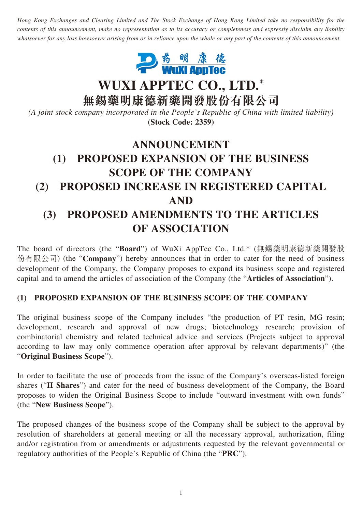*Hong Kong Exchanges and Clearing Limited and The Stock Exchange of Hong Kong Limited take no responsibility for the contents of this announcement, make no representation as to its accuracy or completeness and expressly disclaim any liability whatsoever for any loss howsoever arising from or in reliance upon the whole or any part of the contents of this announcement.*



**WUXI APPTEC CO., LTD.**\*

**無錫藥明康德新藥開發股份有限公司**

*(A joint stock company incorporated in the People's Republic of China with limited liability)* **(Stock Code: 2359)**

# **ANNOUNCEMENT (1) PROPOSED EXPANSION OF THE BUSINESS SCOPE OF THE COMPANY (2) PROPOSED INCREASE IN REGISTERED CAPITAL AND (3) PROPOSED AMENDMENTS TO THE ARTICLES OF ASSOCIATION**

The board of directors (the "**Board**") of WuXi AppTec Co., Ltd.\* (無錫藥明康德新藥開發股 份有限公司) (the "**Company**") hereby announces that in order to cater for the need of business development of the Company, the Company proposes to expand its business scope and registered capital and to amend the articles of association of the Company (the "**Articles of Association**").

### **(1) PROPOSED EXPANSION OF THE BUSINESS SCOPE OF THE COMPANY**

The original business scope of the Company includes "the production of PT resin, MG resin; development, research and approval of new drugs; biotechnology research; provision of combinatorial chemistry and related technical advice and services (Projects subject to approval according to law may only commence operation after approval by relevant departments)" (the "**Original Business Scope**").

In order to facilitate the use of proceeds from the issue of the Company's overseas-listed foreign shares ("**H Shares**") and cater for the need of business development of the Company, the Board proposes to widen the Original Business Scope to include "outward investment with own funds" (the "**New Business Scope**").

The proposed changes of the business scope of the Company shall be subject to the approval by resolution of shareholders at general meeting or all the necessary approval, authorization, filing and/or registration from or amendments or adjustments requested by the relevant governmental or regulatory authorities of the People's Republic of China (the "**PRC**").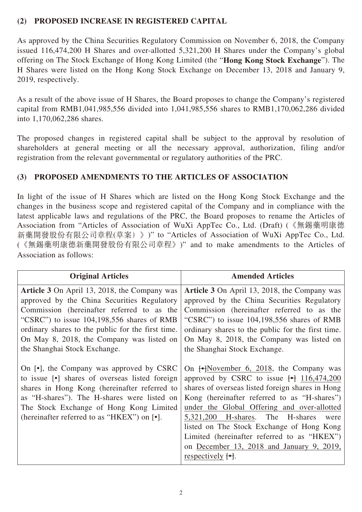### **(2) PROPOSED INCREASE IN REGISTERED CAPITAL**

As approved by the China Securities Regulatory Commission on November 6, 2018, the Company issued 116,474,200 H Shares and over-allotted 5,321,200 H Shares under the Company's global offering on The Stock Exchange of Hong Kong Limited (the "**Hong Kong Stock Exchange**"). The H Shares were listed on the Hong Kong Stock Exchange on December 13, 2018 and January 9, 2019, respectively.

As a result of the above issue of H Shares, the Board proposes to change the Company's registered capital from RMB1,041,985,556 divided into 1,041,985,556 shares to RMB1,170,062,286 divided into 1,170,062,286 shares.

The proposed changes in registered capital shall be subject to the approval by resolution of shareholders at general meeting or all the necessary approval, authorization, filing and/or registration from the relevant governmental or regulatory authorities of the PRC.

## **(3) PROPOSED AMENDMENTS TO THE ARTICLES OF ASSOCIATION**

In light of the issue of H Shares which are listed on the Hong Kong Stock Exchange and the changes in the business scope and registered capital of the Company and in compliance with the latest applicable laws and regulations of the PRC, the Board proposes to rename the Articles of Association from "Articles of Association of WuXi AppTec Co., Ltd. (Draft) (《無錫藥明康德 新藥開發股份有限公司章程(草案)》)" to "Articles of Association of WuXi AppTec Co., Ltd. (《無錫藥明康德新藥開發股份有限公司章程》)" and to make amendments to the Articles of Association as follows:

| <b>Original Articles</b>                                                                                                                                                                                                                                                                                                           | <b>Amended Articles</b>                                                                                                                                                                                                                                                                                                                                                                                                                                                                                   |
|------------------------------------------------------------------------------------------------------------------------------------------------------------------------------------------------------------------------------------------------------------------------------------------------------------------------------------|-----------------------------------------------------------------------------------------------------------------------------------------------------------------------------------------------------------------------------------------------------------------------------------------------------------------------------------------------------------------------------------------------------------------------------------------------------------------------------------------------------------|
| <b>Article 3</b> On April 13, 2018, the Company was<br>approved by the China Securities Regulatory<br>Commission (hereinafter referred to as the<br>"CSRC") to issue $104,198,556$ shares of RMB<br>ordinary shares to the public for the first time.<br>On May 8, 2018, the Company was listed on<br>the Shanghai Stock Exchange. | <b>Article 3</b> On April 13, 2018, the Company was<br>approved by the China Securities Regulatory<br>Commission (hereinafter referred to as the<br>"CSRC") to issue $104,198,556$ shares of RMB<br>ordinary shares to the public for the first time.<br>On May 8, 2018, the Company was listed on<br>the Shanghai Stock Exchange.                                                                                                                                                                        |
| On [.], the Company was approved by CSRC<br>to issue [•] shares of overseas listed foreign<br>shares in Hong Kong (hereinafter referred to<br>as "H-shares"). The H-shares were listed on<br>The Stock Exchange of Hong Kong Limited<br>(hereinafter referred to as "HKEX") on $\lceil \cdot \rceil$ .                             | On $\left\{\rightarrow\right\}$ November 6, 2018, the Company was<br>approved by CSRC to issue $\rightarrow$ 116,474,200<br>shares of overseas listed foreign shares in Hong<br>Kong (hereinafter referred to as "H-shares")<br>under the Global Offering and over-allotted<br>5,321,200 H-shares. The H-shares<br>were<br>listed on The Stock Exchange of Hong Kong<br>Limited (hereinafter referred to as "HKEX")<br>on December 13, 2018 and January 9, 2019,<br>respectively $\left[\bullet\right]$ . |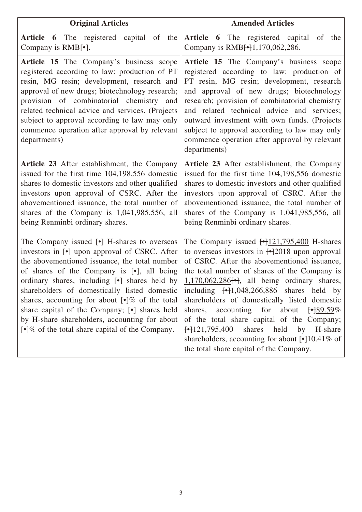| <b>Original Articles</b>                                                                                                                                                                                                                                                                                                                                                                                                                                                                                                                       | <b>Amended Articles</b>                                                                                                                                                                                                                                                                                                                                                                                                                                                                                                                                                                                                                                                                                              |
|------------------------------------------------------------------------------------------------------------------------------------------------------------------------------------------------------------------------------------------------------------------------------------------------------------------------------------------------------------------------------------------------------------------------------------------------------------------------------------------------------------------------------------------------|----------------------------------------------------------------------------------------------------------------------------------------------------------------------------------------------------------------------------------------------------------------------------------------------------------------------------------------------------------------------------------------------------------------------------------------------------------------------------------------------------------------------------------------------------------------------------------------------------------------------------------------------------------------------------------------------------------------------|
| <b>Article 6</b> The registered capital of the<br>Company is RMB[ $\bullet$ ].                                                                                                                                                                                                                                                                                                                                                                                                                                                                 | Article 6 The registered capital<br>of<br>the<br>Company is RMB <sup>[•</sup> ]1,170,062,286.                                                                                                                                                                                                                                                                                                                                                                                                                                                                                                                                                                                                                        |
| Article 15 The Company's business scope<br>registered according to law: production of PT<br>resin, MG resin; development, research and<br>approval of new drugs; biotechnology research;<br>provision of combinatorial chemistry and<br>related technical advice and services. (Projects<br>subject to approval according to law may only<br>commence operation after approval by relevant<br>departments)                                                                                                                                     | Article 15 The Company's business scope<br>registered according to law: production of<br>PT resin, MG resin; development, research<br>and approval of new drugs; biotechnology<br>research; provision of combinatorial chemistry<br>and related technical advice and services;<br>outward investment with own funds. (Projects<br>subject to approval according to law may only<br>commence operation after approval by relevant<br>departments)                                                                                                                                                                                                                                                                     |
| Article 23 After establishment, the Company<br>issued for the first time 104,198,556 domestic<br>shares to domestic investors and other qualified<br>investors upon approval of CSRC. After the<br>abovementioned issuance, the total number of<br>shares of the Company is 1,041,985,556, all<br>being Renminbi ordinary shares.                                                                                                                                                                                                              | <b>Article 23</b> After establishment, the Company<br>issued for the first time 104,198,556 domestic<br>shares to domestic investors and other qualified<br>investors upon approval of CSRC. After the<br>abovementioned issuance, the total number of<br>shares of the Company is 1,041,985,556, all<br>being Renminbi ordinary shares.                                                                                                                                                                                                                                                                                                                                                                             |
| The Company issued [ $\bullet$ ] H-shares to overseas<br>investors in [ $\bullet$ ] upon approval of CSRC. After<br>the abovementioned issuance, the total number<br>of shares of the Company is [.], all being<br>ordinary shares, including [•] shares held by<br>shareholders of domestically listed domestic<br>shares, accounting for about [.]% of the total<br>share capital of the Company; [.] shares held<br>by H-share shareholders, accounting for about<br>$\lbrack \bullet \rbrack$ % of the total share capital of the Company. | The Company issued $\frac{\text{-}121,795,400}{\text{-}121,795,400}$ H-shares<br>to overseas investors in $\frac{1-2018}{2018}$ upon approval<br>of CSRC. After the abovementioned issuance,<br>the total number of shares of the Company is<br>$1,170,062,286$ [ $\bullet$ ], all being ordinary shares,<br>including $\begin{bmatrix} -1.048, 266, 886 \end{bmatrix}$ shares held by<br>shareholders of domestically listed domestic<br>accounting for about<br>shares,<br>$\leftarrow$ 89.59%<br>of the total share capital of the Company;<br>shares<br>$\leftarrow$ 121,795,400<br>held<br>by<br>H-share<br>shareholders, accounting for about $\frac{+10.41}{8}$ of<br>the total share capital of the Company. |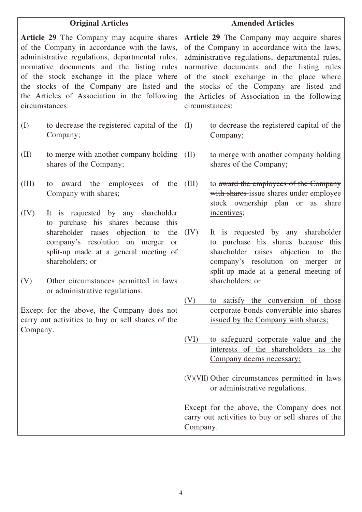|               | <b>Original Articles</b>                                                                                                                                                                                                                                                                                                                                  |                                                                                                                                                                                                                                                                                                                                                    | <b>Amended Articles</b>                                                                                                                                                                                            |
|---------------|-----------------------------------------------------------------------------------------------------------------------------------------------------------------------------------------------------------------------------------------------------------------------------------------------------------------------------------------------------------|----------------------------------------------------------------------------------------------------------------------------------------------------------------------------------------------------------------------------------------------------------------------------------------------------------------------------------------------------|--------------------------------------------------------------------------------------------------------------------------------------------------------------------------------------------------------------------|
|               | <b>Article 29</b> The Company may acquire shares<br>of the Company in accordance with the laws,<br>administrative regulations, departmental rules,<br>normative documents and the listing rules<br>of the stock exchange in the place where<br>the stocks of the Company are listed and<br>the Articles of Association in the following<br>circumstances: | Article 29 The Company may acquire shares<br>of the Company in accordance with the laws,<br>administrative regulations, departmental rules,<br>normative documents and the listing rules<br>of the stock exchange in the place where<br>the stocks of the Company are listed and<br>the Articles of Association in the following<br>circumstances: |                                                                                                                                                                                                                    |
| (I)           | to decrease the registered capital of the<br>Company;                                                                                                                                                                                                                                                                                                     | (I)                                                                                                                                                                                                                                                                                                                                                | to decrease the registered capital of the<br>Company;                                                                                                                                                              |
| (II)          | to merge with another company holding<br>shares of the Company;                                                                                                                                                                                                                                                                                           | (II)                                                                                                                                                                                                                                                                                                                                               | to merge with another company holding<br>shares of the Company;                                                                                                                                                    |
| (III)<br>(IV) | award the employees<br>of<br>the<br>to<br>Company with shares;<br>It is requested by any shareholder                                                                                                                                                                                                                                                      | (III)                                                                                                                                                                                                                                                                                                                                              | to award the employees of the Company<br>with shares issue shares under employee<br>stock ownership plan or<br>as share<br>incentives;                                                                             |
|               | to purchase his shares because<br>this<br>shareholder raises objection to<br>the<br>company's resolution on merger<br><b>or</b><br>split-up made at a general meeting of<br>shareholders; or                                                                                                                                                              | (IV)                                                                                                                                                                                                                                                                                                                                               | It is requested by any shareholder<br>to purchase his shares because<br>this<br>shareholder raises objection to<br>the<br>company's resolution on merger<br><sub>or</sub><br>split-up made at a general meeting of |
| (V)           | Other circumstances permitted in laws<br>or administrative regulations.                                                                                                                                                                                                                                                                                   | (V)                                                                                                                                                                                                                                                                                                                                                | shareholders; or<br>to satisfy the conversion of those                                                                                                                                                             |
| Company.      | Except for the above, the Company does not<br>carry out activities to buy or sell shares of the                                                                                                                                                                                                                                                           |                                                                                                                                                                                                                                                                                                                                                    | corporate bonds convertible into shares<br>issued by the Company with shares;                                                                                                                                      |
|               |                                                                                                                                                                                                                                                                                                                                                           | (VI)                                                                                                                                                                                                                                                                                                                                               | to safeguard corporate value and the<br>interests of the shareholders<br>as the<br>Company deems necessary;                                                                                                        |
|               |                                                                                                                                                                                                                                                                                                                                                           |                                                                                                                                                                                                                                                                                                                                                    | $(\forall)(\forall)$ Other circumstances permitted in laws<br>or administrative regulations.                                                                                                                       |
|               |                                                                                                                                                                                                                                                                                                                                                           | Company.                                                                                                                                                                                                                                                                                                                                           | Except for the above, the Company does not<br>carry out activities to buy or sell shares of the                                                                                                                    |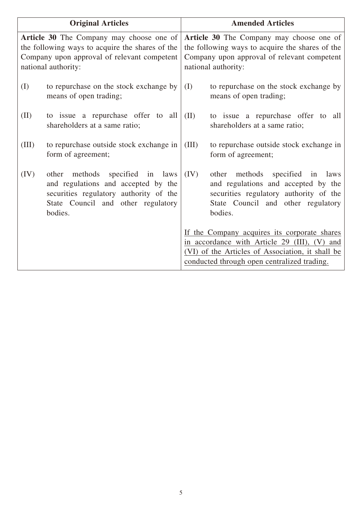| <b>Original Articles</b> |                                                                                                                                                                      | <b>Amended Articles</b>                                                                                                                                           |                                                                                                                                                                                                 |
|--------------------------|----------------------------------------------------------------------------------------------------------------------------------------------------------------------|-------------------------------------------------------------------------------------------------------------------------------------------------------------------|-------------------------------------------------------------------------------------------------------------------------------------------------------------------------------------------------|
|                          | Article 30 The Company may choose one of<br>the following ways to acquire the shares of the<br>Company upon approval of relevant competent<br>national authority:    | Article 30 The Company may choose one of<br>the following ways to acquire the shares of the<br>Company upon approval of relevant competent<br>national authority: |                                                                                                                                                                                                 |
| (I)                      | to repurchase on the stock exchange by<br>means of open trading;                                                                                                     | (I)                                                                                                                                                               | to repurchase on the stock exchange by<br>means of open trading;                                                                                                                                |
| (II)                     | to issue a repurchase offer to all<br>shareholders at a same ratio;                                                                                                  | (II)                                                                                                                                                              | to issue a repurchase offer to all<br>shareholders at a same ratio;                                                                                                                             |
| (III)                    | to repurchase outside stock exchange in<br>form of agreement;                                                                                                        | (III)                                                                                                                                                             | to repurchase outside stock exchange in<br>form of agreement;                                                                                                                                   |
| (IV)                     | methods specified in laws<br>other<br>and regulations and accepted by the<br>securities regulatory authority of the<br>State Council and other regulatory<br>bodies. | (IV)                                                                                                                                                              | methods<br>specified in<br>other<br>laws<br>and regulations and accepted by the<br>securities regulatory authority of the<br>State Council and other regulatory<br>bodies.                      |
|                          |                                                                                                                                                                      |                                                                                                                                                                   | If the Company acquires its corporate shares<br>in accordance with Article 29 (III), (V) and<br>(VI) of the Articles of Association, it shall be<br>conducted through open centralized trading. |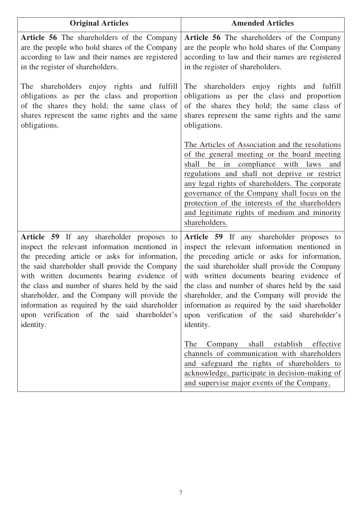| <b>Original Articles</b>                                                                                                                                                                                                                                                                                                                                                                                                                                        | <b>Amended Articles</b>                                                                                                                                                                                                                                                                                                                                                                                                                                                                                                                                                                                          |
|-----------------------------------------------------------------------------------------------------------------------------------------------------------------------------------------------------------------------------------------------------------------------------------------------------------------------------------------------------------------------------------------------------------------------------------------------------------------|------------------------------------------------------------------------------------------------------------------------------------------------------------------------------------------------------------------------------------------------------------------------------------------------------------------------------------------------------------------------------------------------------------------------------------------------------------------------------------------------------------------------------------------------------------------------------------------------------------------|
| <b>Article 56</b> The shareholders of the Company<br>are the people who hold shares of the Company<br>according to law and their names are registered<br>in the register of shareholders.                                                                                                                                                                                                                                                                       | Article 56 The shareholders of the Company<br>are the people who hold shares of the Company<br>according to law and their names are registered<br>in the register of shareholders.                                                                                                                                                                                                                                                                                                                                                                                                                               |
| The shareholders enjoy rights and fulfill<br>obligations as per the class and proportion<br>of the shares they hold; the same class of<br>shares represent the same rights and the same<br>obligations.                                                                                                                                                                                                                                                         | The shareholders enjoy rights and fulfill<br>obligations as per the class and proportion<br>of the shares they hold; the same class of<br>shares represent the same rights and the same<br>obligations.                                                                                                                                                                                                                                                                                                                                                                                                          |
|                                                                                                                                                                                                                                                                                                                                                                                                                                                                 | The Articles of Association and the resolutions<br>of the general meeting or the board meeting<br>shall<br>be<br>in compliance with<br>laws<br>and<br>regulations and shall not deprive or restrict<br>any legal rights of shareholders. The corporate<br>governance of the Company shall focus on the<br>protection of the interests of the shareholders<br>and legitimate rights of medium and minority<br>shareholders.                                                                                                                                                                                       |
| Article 59 If any shareholder proposes to<br>inspect the relevant information mentioned in<br>the preceding article or asks for information,<br>the said shareholder shall provide the Company<br>with written documents bearing evidence of<br>the class and number of shares held by the said<br>shareholder, and the Company will provide the<br>information as required by the said shareholder<br>upon verification of the said shareholder's<br>identity. | <b>Article 59</b> If any shareholder proposes to<br>inspect the relevant information mentioned in<br>the preceding article or asks for information,<br>the said shareholder shall provide the Company<br>with written documents bearing evidence of<br>the class and number of shares held by the said<br>shareholder, and the Company will provide the<br>information as required by the said shareholder<br>upon verification of the said shareholder's<br>identity.<br>Company shall establish effective<br>The<br>channels of communication with shareholders<br>and safeguard the rights of shareholders to |
|                                                                                                                                                                                                                                                                                                                                                                                                                                                                 | acknowledge, participate in decision-making of<br>and supervise major events of the Company.                                                                                                                                                                                                                                                                                                                                                                                                                                                                                                                     |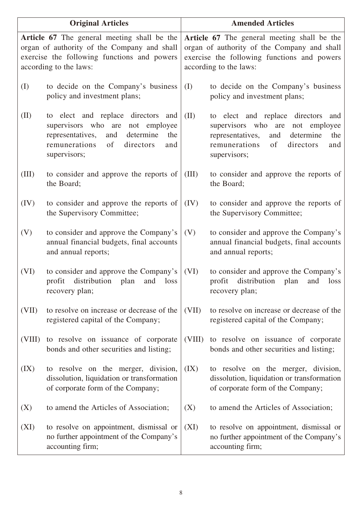| <b>Original Articles</b> |                                                                                                                                                                                           | <b>Amended Articles</b> |                                                                                                                                                                                           |  |
|--------------------------|-------------------------------------------------------------------------------------------------------------------------------------------------------------------------------------------|-------------------------|-------------------------------------------------------------------------------------------------------------------------------------------------------------------------------------------|--|
|                          | Article 67 The general meeting shall be the<br>organ of authority of the Company and shall<br>exercise the following functions and powers<br>according to the laws:                       |                         | Article 67 The general meeting shall be the<br>organ of authority of the Company and shall<br>exercise the following functions and powers<br>according to the laws:                       |  |
| (I)                      | to decide on the Company's business<br>policy and investment plans;                                                                                                                       | (I)                     | to decide on the Company's business<br>policy and investment plans;                                                                                                                       |  |
| (II)                     | to elect and replace directors<br>and<br>supervisors who are<br>not<br>employee<br>representatives,<br>determine<br>and<br>the<br>remunerations<br>of<br>directors<br>and<br>supervisors; | (II)                    | to elect and replace directors<br>and<br>supervisors who are<br>employee<br>not<br>representatives,<br>determine<br>and<br>the<br>remunerations<br>of<br>directors<br>and<br>supervisors; |  |
| (III)                    | to consider and approve the reports of<br>the Board;                                                                                                                                      | (III)                   | to consider and approve the reports of<br>the Board;                                                                                                                                      |  |
| (IV)                     | to consider and approve the reports of<br>the Supervisory Committee;                                                                                                                      | (IV)                    | to consider and approve the reports of<br>the Supervisory Committee;                                                                                                                      |  |
| (V)                      | to consider and approve the Company's<br>annual financial budgets, final accounts<br>and annual reports;                                                                                  | (V)                     | to consider and approve the Company's<br>annual financial budgets, final accounts<br>and annual reports;                                                                                  |  |
| (VI)                     | to consider and approve the Company's<br>distribution plan<br>profit<br>and<br>loss<br>recovery plan;                                                                                     | (VI)                    | to consider and approve the Company's<br>distribution<br>profit<br>plan<br>and<br>loss<br>recovery plan;                                                                                  |  |
| (VII)                    | to resolve on increase or decrease of the<br>registered capital of the Company;                                                                                                           | (VII)                   | to resolve on increase or decrease of the<br>registered capital of the Company;                                                                                                           |  |
| (VIII)                   | to resolve on issuance of corporate<br>bonds and other securities and listing;                                                                                                            | (VIII)                  | to resolve on issuance of corporate<br>bonds and other securities and listing;                                                                                                            |  |
| (IX)                     | to resolve on the merger, division,<br>dissolution, liquidation or transformation<br>of corporate form of the Company;                                                                    | (IX)                    | to resolve on the merger, division,<br>dissolution, liquidation or transformation<br>of corporate form of the Company;                                                                    |  |
| (X)                      | to amend the Articles of Association;                                                                                                                                                     | (X)                     | to amend the Articles of Association;                                                                                                                                                     |  |
| (XI)                     | to resolve on appointment, dismissal or<br>no further appointment of the Company's<br>accounting firm;                                                                                    | (XI)                    | to resolve on appointment, dismissal or<br>no further appointment of the Company's<br>accounting firm;                                                                                    |  |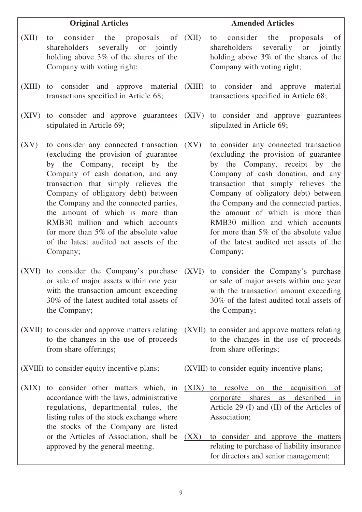|        | <b>Original Articles</b>                                                                                                                                                                                                                                                                                                                                                                                                                                |               | <b>Amended Articles</b>                                                                                                                                                                                                                                                                                                                                                                                                                                 |
|--------|---------------------------------------------------------------------------------------------------------------------------------------------------------------------------------------------------------------------------------------------------------------------------------------------------------------------------------------------------------------------------------------------------------------------------------------------------------|---------------|---------------------------------------------------------------------------------------------------------------------------------------------------------------------------------------------------------------------------------------------------------------------------------------------------------------------------------------------------------------------------------------------------------------------------------------------------------|
| (XII)  | consider<br>the<br>proposals of<br>to<br>shareholders<br>severally or<br>jointly<br>holding above 3% of the shares of the<br>Company with voting right;                                                                                                                                                                                                                                                                                                 | (XII)         | consider the proposals<br>of<br>to<br>severally or<br>shareholders<br>jointly<br>holding above $3\%$ of the shares of the<br>Company with voting right;                                                                                                                                                                                                                                                                                                 |
| (XIII) | to consider and approve material<br>transactions specified in Article 68;                                                                                                                                                                                                                                                                                                                                                                               |               | (XIII) to consider and approve material<br>transactions specified in Article 68;                                                                                                                                                                                                                                                                                                                                                                        |
| (XIV)  | to consider and approve guarantees<br>stipulated in Article 69;                                                                                                                                                                                                                                                                                                                                                                                         |               | (XIV) to consider and approve guarantees<br>stipulated in Article 69;                                                                                                                                                                                                                                                                                                                                                                                   |
| (XV)   | to consider any connected transaction<br>(excluding the provision of guarantee<br>by the Company, receipt by the<br>Company of cash donation, and any<br>transaction that simply relieves the<br>Company of obligatory debt) between<br>the Company and the connected parties,<br>the amount of which is more than<br>RMB30 million and which accounts<br>for more than 5% of the absolute value<br>of the latest audited net assets of the<br>Company; | (XV)          | to consider any connected transaction<br>(excluding the provision of guarantee<br>by the Company, receipt by the<br>Company of cash donation, and any<br>transaction that simply relieves the<br>Company of obligatory debt) between<br>the Company and the connected parties,<br>the amount of which is more than<br>RMB30 million and which accounts<br>for more than 5% of the absolute value<br>of the latest audited net assets of the<br>Company; |
| (XVI)  | to consider the Company's purchase<br>or sale of major assets within one year<br>with the transaction amount exceeding<br>30% of the latest audited total assets of<br>the Company;                                                                                                                                                                                                                                                                     |               | (XVI) to consider the Company's purchase<br>or sale of major assets within one year<br>with the transaction amount exceeding<br>30% of the latest audited total assets of<br>the Company;                                                                                                                                                                                                                                                               |
|        | (XVII) to consider and approve matters relating<br>to the changes in the use of proceeds<br>from share offerings;                                                                                                                                                                                                                                                                                                                                       |               | (XVII) to consider and approve matters relating<br>to the changes in the use of proceeds<br>from share offerings;                                                                                                                                                                                                                                                                                                                                       |
|        | (XVIII) to consider equity incentive plans;                                                                                                                                                                                                                                                                                                                                                                                                             |               | (XVIII) to consider equity incentive plans;                                                                                                                                                                                                                                                                                                                                                                                                             |
| (XIX)  | to consider other matters which, in<br>accordance with the laws, administrative<br>regulations, departmental rules, the<br>listing rules of the stock exchange where<br>the stocks of the Company are listed<br>or the Articles of Association, shall be<br>approved by the general meeting.                                                                                                                                                            | (XIX)<br>(XX) | resolve<br>acquisition<br>on<br>the<br>to<br><u>of</u><br>described<br>shares<br>corporate<br>as<br>in<br>Article 29 (I) and (II) of the Articles of<br>Association;<br>to consider and approve the matters<br>relating to purchase of liability insurance<br>for directors and senior management;                                                                                                                                                      |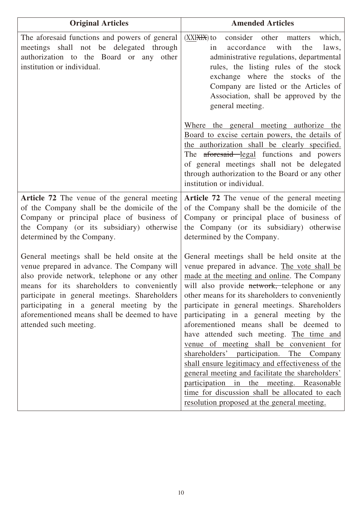| <b>Original Articles</b>                                                                                                                                                                                                                                                                                                                                          | <b>Amended Articles</b>                                                                                                                                                                                                                                                                                                                                                                                                                                                                                                                                                                                                                                                                                                                                                          |
|-------------------------------------------------------------------------------------------------------------------------------------------------------------------------------------------------------------------------------------------------------------------------------------------------------------------------------------------------------------------|----------------------------------------------------------------------------------------------------------------------------------------------------------------------------------------------------------------------------------------------------------------------------------------------------------------------------------------------------------------------------------------------------------------------------------------------------------------------------------------------------------------------------------------------------------------------------------------------------------------------------------------------------------------------------------------------------------------------------------------------------------------------------------|
| The aforesaid functions and powers of general<br>meetings shall not be delegated through<br>authorization to the Board or any<br>other<br>institution or individual.                                                                                                                                                                                              | consider other matters<br>$(XXIXHX)$ to<br>which,<br>with<br>the<br>accordance<br>laws,<br>in<br>administrative regulations, departmental<br>rules, the listing rules of the stock<br>exchange where the stocks of the<br>Company are listed or the Articles of<br>Association, shall be approved by the<br>general meeting.                                                                                                                                                                                                                                                                                                                                                                                                                                                     |
|                                                                                                                                                                                                                                                                                                                                                                   | Where the general meeting authorize the<br>Board to excise certain powers, the details of<br>the authorization shall be clearly specified.<br>The aforesaid legal functions and powers<br>of general meetings shall not be delegated<br>through authorization to the Board or any other<br>institution or individual.                                                                                                                                                                                                                                                                                                                                                                                                                                                            |
| Article 72 The venue of the general meeting<br>of the Company shall be the domicile of the<br>Company or principal place of business of<br>the Company (or its subsidiary) otherwise<br>determined by the Company.                                                                                                                                                | Article 72 The venue of the general meeting<br>of the Company shall be the domicile of the<br>Company or principal place of business of<br>the Company (or its subsidiary) otherwise<br>determined by the Company.                                                                                                                                                                                                                                                                                                                                                                                                                                                                                                                                                               |
| General meetings shall be held onsite at the<br>venue prepared in advance. The Company will<br>also provide network, telephone or any other<br>means for its shareholders to conveniently<br>participate in general meetings. Shareholders<br>participating in a general meeting by the<br>aforementioned means shall be deemed to have<br>attended such meeting. | General meetings shall be held onsite at the<br>venue prepared in advance. The vote shall be<br>made at the meeting and online. The Company<br>will also provide network, telephone or any<br>other means for its shareholders to conveniently<br>participate in general meetings. Shareholders<br>participating in a general meeting by the<br>aforementioned means shall be deemed to<br>have attended such meeting. The time and<br>venue of meeting shall be convenient for<br>shareholders' participation. The Company<br>shall ensure legitimacy and effectiveness of the<br>general meeting and facilitate the shareholders'<br>participation in the meeting. Reasonable<br>time for discussion shall be allocated to each<br>resolution proposed at the general meeting. |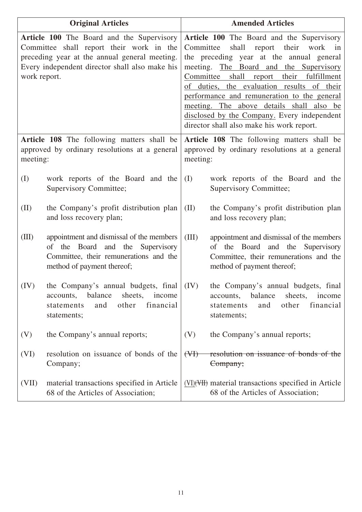|              | <b>Original Articles</b>                                                                                                                                                                        | <b>Amended Articles</b>                                                                                                                                                                                                                                                                                                                                                                                                                                                        |  |
|--------------|-------------------------------------------------------------------------------------------------------------------------------------------------------------------------------------------------|--------------------------------------------------------------------------------------------------------------------------------------------------------------------------------------------------------------------------------------------------------------------------------------------------------------------------------------------------------------------------------------------------------------------------------------------------------------------------------|--|
| work report. | <b>Article 100</b> The Board and the Supervisory<br>Committee shall report their work in the<br>preceding year at the annual general meeting.<br>Every independent director shall also make his | <b>Article 100</b> The Board and the Supervisory<br>shall report their work<br>Committee<br>in<br>the preceding year at the annual general<br>meeting. The Board and the Supervisory<br>shall<br>Committee<br>their fulfillment<br>report<br>of duties, the evaluation results of their<br>performance and remuneration to the general<br>meeting. The above details shall also be<br>disclosed by the Company. Every independent<br>director shall also make his work report. |  |
| meeting:     | Article 108 The following matters shall be<br>approved by ordinary resolutions at a general                                                                                                     | Article 108 The following matters shall be<br>approved by ordinary resolutions at a general<br>meeting:                                                                                                                                                                                                                                                                                                                                                                        |  |
| (I)          | work reports of the Board and the<br>Supervisory Committee;                                                                                                                                     | work reports of the Board and the<br>(I)<br>Supervisory Committee;                                                                                                                                                                                                                                                                                                                                                                                                             |  |
| (II)         | the Company's profit distribution plan<br>and loss recovery plan;                                                                                                                               | (II)<br>the Company's profit distribution plan<br>and loss recovery plan;                                                                                                                                                                                                                                                                                                                                                                                                      |  |
| (III)        | appointment and dismissal of the members<br>of the Board and the Supervisory<br>Committee, their remunerations and the<br>method of payment thereof;                                            | (III)<br>appointment and dismissal of the members<br>of the Board<br>and the Supervisory<br>Committee, their remunerations and the<br>method of payment thereof;                                                                                                                                                                                                                                                                                                               |  |
| (IV)         | the Company's annual budgets, final $ (IV) $<br>balance<br>sheets,<br>income<br>accounts,<br>financial<br>other<br>statements<br>and<br>statements;                                             | the Company's annual budgets, final<br>accounts, balance<br>sheets,<br>income<br>other<br>financial<br>statements<br>and<br>statements;                                                                                                                                                                                                                                                                                                                                        |  |
| (V)          | the Company's annual reports;                                                                                                                                                                   | (V)<br>the Company's annual reports;                                                                                                                                                                                                                                                                                                                                                                                                                                           |  |
| (VI)         | resolution on issuance of bonds of the<br>Company;                                                                                                                                              | resolution on issuance of bonds of the<br>(H)<br>Company;                                                                                                                                                                                                                                                                                                                                                                                                                      |  |
| (VII)        | material transactions specified in Article<br>68 of the Articles of Association;                                                                                                                | (VI) (VII) material transactions specified in Article<br>68 of the Articles of Association;                                                                                                                                                                                                                                                                                                                                                                                    |  |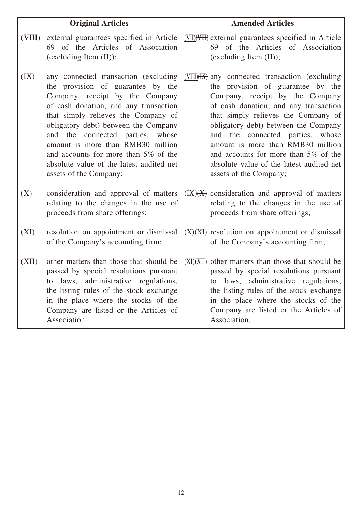|        | <b>Original Articles</b>                                                                                                                                                                                                                                                                                                                                                                                                       | <b>Amended Articles</b>                                                                                                                                                                                                                                                                                                                                                                                                                            |
|--------|--------------------------------------------------------------------------------------------------------------------------------------------------------------------------------------------------------------------------------------------------------------------------------------------------------------------------------------------------------------------------------------------------------------------------------|----------------------------------------------------------------------------------------------------------------------------------------------------------------------------------------------------------------------------------------------------------------------------------------------------------------------------------------------------------------------------------------------------------------------------------------------------|
| (VIII) | external guarantees specified in Article<br>69 of the Articles of Association<br>(excluding Item (II));                                                                                                                                                                                                                                                                                                                        | (VII) (VIII) external guarantees specified in Article<br>69 of the Articles of Association<br>(excluding Item (II));                                                                                                                                                                                                                                                                                                                               |
| (IX)   | any connected transaction (excluding<br>the provision of guarantee by the<br>Company, receipt by the Company<br>of cash donation, and any transaction<br>that simply relieves the Company of<br>obligatory debt) between the Company<br>and the connected parties,<br>whose<br>amount is more than RMB30 million<br>and accounts for more than 5% of the<br>absolute value of the latest audited net<br>assets of the Company; | (VIII)( <del>IX)</del> any connected transaction (excluding<br>the provision of guarantee by the<br>Company, receipt by the Company<br>of cash donation, and any transaction<br>that simply relieves the Company of<br>obligatory debt) between the Company<br>and the connected parties, whose<br>amount is more than RMB30 million<br>and accounts for more than 5% of the<br>absolute value of the latest audited net<br>assets of the Company; |
| (X)    | consideration and approval of matters<br>relating to the changes in the use of<br>proceeds from share offerings;                                                                                                                                                                                                                                                                                                               | $(IX)(X)$ consideration and approval of matters<br>relating to the changes in the use of<br>proceeds from share offerings;                                                                                                                                                                                                                                                                                                                         |
| (XI)   | resolution on appointment or dismissal<br>of the Company's accounting firm;                                                                                                                                                                                                                                                                                                                                                    | $(X)(X)$ resolution on appointment or dismissal<br>of the Company's accounting firm;                                                                                                                                                                                                                                                                                                                                                               |
| (XII)  | other matters than those that should be<br>passed by special resolutions pursuant<br>to laws, administrative regulations,<br>the listing rules of the stock exchange<br>in the place where the stocks of the<br>Company are listed or the Articles of<br>Association.                                                                                                                                                          | $(XI)(XH)$ other matters than those that should be<br>passed by special resolutions pursuant<br>administrative regulations,<br>to laws,<br>the listing rules of the stock exchange<br>in the place where the stocks of the<br>Company are listed or the Articles of<br>Association.                                                                                                                                                                |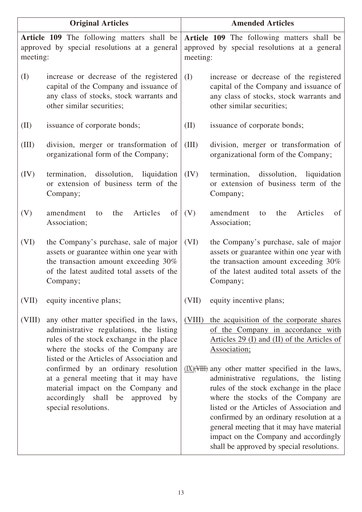| <b>Original Articles</b> |                                                                                                                                                                                                                    | <b>Amended Articles</b>                                                                                |                                                                                                                                                                                                                                                                                                                                                                                                                                      |
|--------------------------|--------------------------------------------------------------------------------------------------------------------------------------------------------------------------------------------------------------------|--------------------------------------------------------------------------------------------------------|--------------------------------------------------------------------------------------------------------------------------------------------------------------------------------------------------------------------------------------------------------------------------------------------------------------------------------------------------------------------------------------------------------------------------------------|
| meeting:                 | Article 109 The following matters shall be<br>approved by special resolutions at a general                                                                                                                         | Article 109 The following matters shall be<br>approved by special resolutions at a general<br>meeting: |                                                                                                                                                                                                                                                                                                                                                                                                                                      |
| (I)                      | increase or decrease of the registered<br>capital of the Company and issuance of<br>any class of stocks, stock warrants and<br>other similar securities;                                                           | (I)                                                                                                    | increase or decrease of the registered<br>capital of the Company and issuance of<br>any class of stocks, stock warrants and<br>other similar securities;                                                                                                                                                                                                                                                                             |
| (II)                     | issuance of corporate bonds;                                                                                                                                                                                       | (II)                                                                                                   | issuance of corporate bonds;                                                                                                                                                                                                                                                                                                                                                                                                         |
| (III)                    | division, merger or transformation of<br>organizational form of the Company;                                                                                                                                       | (III)                                                                                                  | division, merger or transformation of<br>organizational form of the Company;                                                                                                                                                                                                                                                                                                                                                         |
| (IV)                     | dissolution,<br>liquidation<br>termination,<br>or extension of business term of the<br>Company;                                                                                                                    | (IV)                                                                                                   | termination, dissolution,<br>liquidation<br>or extension of business term of the<br>Company;                                                                                                                                                                                                                                                                                                                                         |
| (V)                      | amendment<br>Articles<br>of<br>the<br>to<br>Association;                                                                                                                                                           | (V)                                                                                                    | Articles<br>amendment<br>the<br>of<br>to<br>Association;                                                                                                                                                                                                                                                                                                                                                                             |
| (VI)                     | the Company's purchase, sale of major<br>assets or guarantee within one year with<br>the transaction amount exceeding 30%<br>of the latest audited total assets of the<br>Company;                                 | (VI)                                                                                                   | the Company's purchase, sale of major<br>assets or guarantee within one year with<br>the transaction amount exceeding 30%<br>of the latest audited total assets of the<br>Company;                                                                                                                                                                                                                                                   |
| (VII)                    | equity incentive plans;                                                                                                                                                                                            | (VII)                                                                                                  | equity incentive plans;                                                                                                                                                                                                                                                                                                                                                                                                              |
| (VIII)                   | any other matter specified in the laws,<br>administrative regulations, the listing<br>rules of the stock exchange in the place<br>where the stocks of the Company are<br>listed or the Articles of Association and | (VIII)                                                                                                 | the acquisition of the corporate shares<br>of the Company in accordance with<br>Articles 29 (I) and (II) of the Articles of<br>Association;                                                                                                                                                                                                                                                                                          |
|                          | confirmed by an ordinary resolution<br>at a general meeting that it may have<br>material impact on the Company and<br>accordingly shall be approved by<br>special resolutions.                                     |                                                                                                        | $(\underline{IX})(\overline{VHH})$ any other matter specified in the laws,<br>administrative regulations, the listing<br>rules of the stock exchange in the place<br>where the stocks of the Company are<br>listed or the Articles of Association and<br>confirmed by an ordinary resolution at a<br>general meeting that it may have material<br>impact on the Company and accordingly<br>shall be approved by special resolutions. |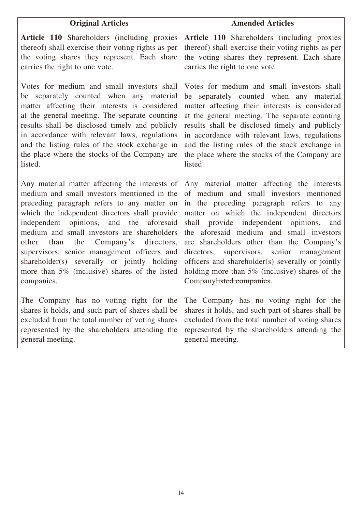| <b>Original Articles</b>                                                                                                                                                                                                                                                                                                                                                                                                                                                                                | <b>Amended Articles</b>                                                                                                                                                                                                                                                                                                                                                                                                                                                                                                  |  |
|---------------------------------------------------------------------------------------------------------------------------------------------------------------------------------------------------------------------------------------------------------------------------------------------------------------------------------------------------------------------------------------------------------------------------------------------------------------------------------------------------------|--------------------------------------------------------------------------------------------------------------------------------------------------------------------------------------------------------------------------------------------------------------------------------------------------------------------------------------------------------------------------------------------------------------------------------------------------------------------------------------------------------------------------|--|
| <b>Article 110</b> Shareholders (including proxies<br>thereof) shall exercise their voting rights as per<br>the voting shares they represent. Each share<br>carries the right to one vote.                                                                                                                                                                                                                                                                                                              | Article 110 Shareholders (including proxies<br>thereof) shall exercise their voting rights as per<br>the voting shares they represent. Each share<br>carries the right to one vote.                                                                                                                                                                                                                                                                                                                                      |  |
| Votes for medium and small investors shall<br>separately counted when any material<br>be<br>matter affecting their interests is considered<br>at the general meeting. The separate counting<br>results shall be disclosed timely and publicly<br>in accordance with relevant laws, regulations<br>and the listing rules of the stock exchange in<br>the place where the stocks of the Company are<br>listed.                                                                                            | Votes for medium and small investors shall<br>be separately counted when any material<br>matter affecting their interests is considered<br>at the general meeting. The separate counting<br>results shall be disclosed timely and publicly<br>in accordance with relevant laws, regulations<br>and the listing rules of the stock exchange in<br>the place where the stocks of the Company are<br>listed.                                                                                                                |  |
| Any material matter affecting the interests of<br>medium and small investors mentioned in the<br>preceding paragraph refers to any matter on<br>which the independent directors shall provide<br>independent opinions, and the aforesaid<br>medium and small investors are shareholders<br>directors,<br>other<br>than<br>the<br>Company's<br>supervisors, senior management officers and<br>shareholder(s) severally or jointly holding<br>more than 5% (inclusive) shares of the listed<br>companies. | Any material matter affecting the interests<br>of medium and small investors mentioned<br>in the preceding paragraph refers to any<br>matter on which the independent directors<br>provide independent opinions, and<br>shall<br>the aforesaid medium and small investors<br>are shareholders other than the Company's<br>supervisors, senior management<br>directors,<br>officers and shareholder(s) severally or jointly<br>holding more than $5\%$ (inclusive) shares of the<br>Company <del>listed companies</del> . |  |
| The Company has no voting right for the<br>shares it holds, and such part of shares shall be<br>excluded from the total number of voting shares<br>represented by the shareholders attending the<br>general meeting.                                                                                                                                                                                                                                                                                    | The Company has no voting right for the<br>shares it holds, and such part of shares shall be<br>excluded from the total number of voting shares<br>represented by the shareholders attending the<br>general meeting.                                                                                                                                                                                                                                                                                                     |  |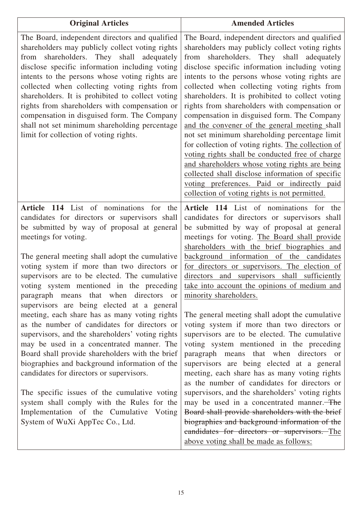| <b>Original Articles</b>                                                                                                                                                                                                                                                                                                                                                                                                                                                                                                                                                                                                                                                                                                                                                                               | <b>Amended Articles</b>                                                                                                                                                                                                                                                                                                                                                                                                                                                                                                                                                                                                                                                                                                                                                                                                                                                |
|--------------------------------------------------------------------------------------------------------------------------------------------------------------------------------------------------------------------------------------------------------------------------------------------------------------------------------------------------------------------------------------------------------------------------------------------------------------------------------------------------------------------------------------------------------------------------------------------------------------------------------------------------------------------------------------------------------------------------------------------------------------------------------------------------------|------------------------------------------------------------------------------------------------------------------------------------------------------------------------------------------------------------------------------------------------------------------------------------------------------------------------------------------------------------------------------------------------------------------------------------------------------------------------------------------------------------------------------------------------------------------------------------------------------------------------------------------------------------------------------------------------------------------------------------------------------------------------------------------------------------------------------------------------------------------------|
| The Board, independent directors and qualified<br>shareholders may publicly collect voting rights<br>from shareholders. They shall adequately<br>disclose specific information including voting<br>intents to the persons whose voting rights are<br>collected when collecting voting rights from<br>shareholders. It is prohibited to collect voting<br>rights from shareholders with compensation or<br>compensation in disguised form. The Company<br>shall not set minimum shareholding percentage<br>limit for collection of voting rights.                                                                                                                                                                                                                                                       | The Board, independent directors and qualified<br>shareholders may publicly collect voting rights<br>from shareholders. They shall adequately<br>disclose specific information including voting<br>intents to the persons whose voting rights are<br>collected when collecting voting rights from<br>shareholders. It is prohibited to collect voting<br>rights from shareholders with compensation or<br>compensation in disguised form. The Company<br>and the convener of the general meeting shall<br>not set minimum shareholding percentage limit<br>for collection of voting rights. The collection of<br>voting rights shall be conducted free of charge<br>and shareholders whose voting rights are being<br>collected shall disclose information of specific<br>voting preferences. Paid or indirectly paid<br>collection of voting rights is not permitted. |
| Article 114 List of nominations for the<br>candidates for directors or supervisors shall<br>be submitted by way of proposal at general<br>meetings for voting.<br>The general meeting shall adopt the cumulative<br>voting system if more than two directors or<br>supervisors are to be elected. The cumulative<br>voting system mentioned in the preceding<br>paragraph means that when directors or<br>supervisors are being elected at a general<br>meeting, each share has as many voting rights<br>as the number of candidates for directors or<br>supervisors, and the shareholders' voting rights<br>may be used in a concentrated manner. The<br>Board shall provide shareholders with the brief<br>biographies and background information of the<br>candidates for directors or supervisors. | Article 114 List of nominations for the<br>candidates for directors or supervisors shall<br>be submitted by way of proposal at general<br>meetings for voting. The Board shall provide<br>shareholders with the brief biographies and<br>background information of the candidates<br>for directors or supervisors. The election of<br>and supervisors shall sufficiently<br>directors<br>take into account the opinions of medium and<br>minority shareholders.<br>The general meeting shall adopt the cumulative<br>voting system if more than two directors or<br>supervisors are to be elected. The cumulative<br>voting system mentioned in the preceding<br>paragraph means that when directors or<br>supervisors are being elected at a general<br>meeting, each share has as many voting rights<br>as the number of candidates for directors or                 |
| The specific issues of the cumulative voting<br>system shall comply with the Rules for the<br>Implementation of the Cumulative Voting<br>System of WuXi AppTec Co., Ltd.                                                                                                                                                                                                                                                                                                                                                                                                                                                                                                                                                                                                                               | supervisors, and the shareholders' voting rights<br>may be used in a concentrated manner. The<br>Board shall provide shareholders with the brief<br>biographies and background information of the<br>eandidates for directors or supervisors. The<br>above voting shall be made as follows:                                                                                                                                                                                                                                                                                                                                                                                                                                                                                                                                                                            |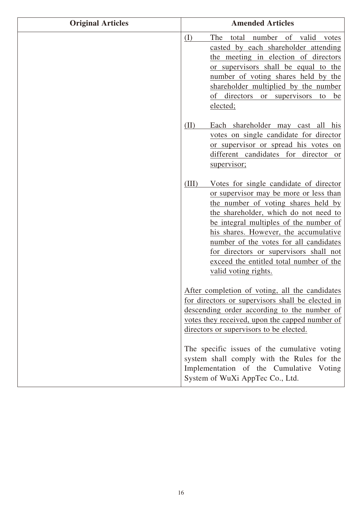| <b>Original Articles</b> | <b>Amended Articles</b>                                                                                                                                                                                                                                                                                                                                                                                             |
|--------------------------|---------------------------------------------------------------------------------------------------------------------------------------------------------------------------------------------------------------------------------------------------------------------------------------------------------------------------------------------------------------------------------------------------------------------|
|                          | (I)<br>total number of valid<br>The<br>votes<br>casted by each shareholder attending<br>the meeting in election of directors<br>or supervisors shall be equal to the<br>number of voting shares held by the<br>shareholder multiplied by the number<br>of directors or supervisors<br>to<br>be<br>elected;                                                                                                          |
|                          | Each shareholder may cast all his<br>(II)<br>votes on single candidate for director<br>or supervisor or spread his votes on<br>different candidates for director<br>or<br>supervisor;                                                                                                                                                                                                                               |
|                          | (III)<br>Votes for single candidate of director<br>or supervisor may be more or less than<br>the number of voting shares held by<br>the shareholder, which do not need to<br>be integral multiples of the number of<br>his shares. However, the accumulative<br>number of the votes for all candidates<br>for directors or supervisors shall not<br>exceed the entitled total number of the<br>valid voting rights. |
|                          | After completion of voting, all the candidates<br>for directors or supervisors shall be elected in<br>descending order according to the number of<br>votes they received, upon the capped number of<br>directors or supervisors to be elected.                                                                                                                                                                      |
|                          | The specific issues of the cumulative voting<br>system shall comply with the Rules for the<br>Implementation of the Cumulative Voting<br>System of WuXi AppTec Co., Ltd.                                                                                                                                                                                                                                            |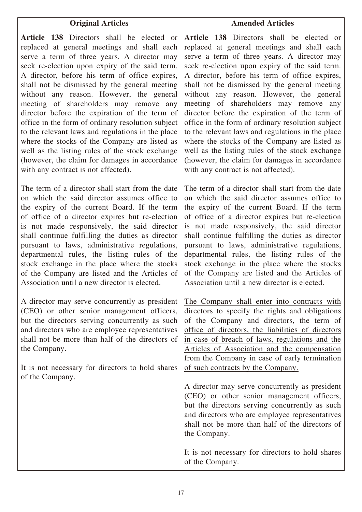**Article 138** Directors shall be elected or replaced at general meetings and shall each serve a term of three years. A director may seek re-election upon expiry of the said term. A director, before his term of office expires, shall not be dismissed by the general meeting without any reason. However, the general meeting of shareholders may remove any director before the expiration of the term of office in the form of ordinary resolution subject to the relevant laws and regulations in the place where the stocks of the Company are listed as well as the listing rules of the stock exchange (however, the claim for damages in accordance with any contract is not affected).

The term of a director shall start from the date on which the said director assumes office to the expiry of the current Board. If the term of office of a director expires but re-election is not made responsively, the said director shall continue fulfilling the duties as director pursuant to laws, administrative regulations, departmental rules, the listing rules of the stock exchange in the place where the stocks of the Company are listed and the Articles of Association until a new director is elected.

A director may serve concurrently as president (CEO) or other senior management officers, but the directors serving concurrently as such and directors who are employee representatives shall not be more than half of the directors of the Company.

It is not necessary for directors to hold shares of the Company.

**Article 138** Directors shall be elected or replaced at general meetings and shall each serve a term of three years. A director may seek re-election upon expiry of the said term. A director, before his term of office expires, shall not be dismissed by the general meeting without any reason. However, the general meeting of shareholders may remove any director before the expiration of the term of office in the form of ordinary resolution subject to the relevant laws and regulations in the place where the stocks of the Company are listed as well as the listing rules of the stock exchange (however, the claim for damages in accordance with any contract is not affected).

**Original Articles Amended Articles**

The term of a director shall start from the date on which the said director assumes office to the expiry of the current Board. If the term of office of a director expires but re-election is not made responsively, the said director shall continue fulfilling the duties as director pursuant to laws, administrative regulations, departmental rules, the listing rules of the stock exchange in the place where the stocks of the Company are listed and the Articles of Association until a new director is elected.

The Company shall enter into contracts with directors to specify the rights and obligations of the Company and directors, the term of office of directors, the liabilities of directors in case of breach of laws, regulations and the Articles of Association and the compensation from the Company in case of early termination of such contracts by the Company.

A director may serve concurrently as president (CEO) or other senior management officers, but the directors serving concurrently as such and directors who are employee representatives shall not be more than half of the directors of the Company.

It is not necessary for directors to hold shares of the Company.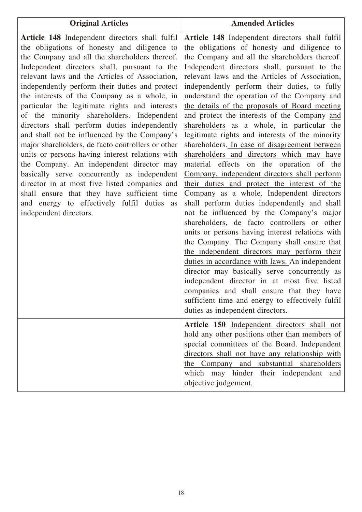| <b>Original Articles</b>                                                                                                                                                                                                                                                                                                                                                                                                                                                                                                                                                                                                                                                                                                                                                                                                                                                                                                    | <b>Amended Articles</b>                                                                                                                                                                                                                                                                                                                                                                                                                                                                                                                                                                                                                                                                                                                                                                                                                                                                                                                                                                                                                                                                                                                                                                                                                                                                                                                                                                                                   |
|-----------------------------------------------------------------------------------------------------------------------------------------------------------------------------------------------------------------------------------------------------------------------------------------------------------------------------------------------------------------------------------------------------------------------------------------------------------------------------------------------------------------------------------------------------------------------------------------------------------------------------------------------------------------------------------------------------------------------------------------------------------------------------------------------------------------------------------------------------------------------------------------------------------------------------|---------------------------------------------------------------------------------------------------------------------------------------------------------------------------------------------------------------------------------------------------------------------------------------------------------------------------------------------------------------------------------------------------------------------------------------------------------------------------------------------------------------------------------------------------------------------------------------------------------------------------------------------------------------------------------------------------------------------------------------------------------------------------------------------------------------------------------------------------------------------------------------------------------------------------------------------------------------------------------------------------------------------------------------------------------------------------------------------------------------------------------------------------------------------------------------------------------------------------------------------------------------------------------------------------------------------------------------------------------------------------------------------------------------------------|
| Article 148 Independent directors shall fulfil<br>the obligations of honesty and diligence to<br>the Company and all the shareholders thereof.<br>Independent directors shall, pursuant to the<br>relevant laws and the Articles of Association,<br>independently perform their duties and protect<br>the interests of the Company as a whole, in<br>particular the legitimate rights and interests<br>of the minority shareholders. Independent<br>directors shall perform duties independently<br>and shall not be influenced by the Company's<br>major shareholders, de facto controllers or other<br>units or persons having interest relations with<br>the Company. An independent director may<br>basically serve concurrently as independent<br>director in at most five listed companies and<br>shall ensure that they have sufficient time<br>and energy to effectively fulfil duties as<br>independent directors. | Article 148 Independent directors shall fulfil<br>the obligations of honesty and diligence to<br>the Company and all the shareholders thereof.<br>Independent directors shall, pursuant to the<br>relevant laws and the Articles of Association,<br>independently perform their duties, to fully<br>understand the operation of the Company and<br>the details of the proposals of Board meeting<br>and protect the interests of the Company and<br>shareholders as a whole, in particular the<br>legitimate rights and interests of the minority<br>shareholders. In case of disagreement between<br>shareholders and directors which may have<br>material effects on the operation of the<br>Company, independent directors shall perform<br>their duties and protect the interest of the<br>Company as a whole. Independent directors<br>shall perform duties independently and shall<br>not be influenced by the Company's major<br>shareholders, de facto controllers or other<br>units or persons having interest relations with<br>the Company. The Company shall ensure that<br>the independent directors may perform their<br>duties in accordance with laws. An independent<br>director may basically serve concurrently as<br>independent director in at most five listed<br>companies and shall ensure that they have<br>sufficient time and energy to effectively fulfil<br>duties as independent directors. |
|                                                                                                                                                                                                                                                                                                                                                                                                                                                                                                                                                                                                                                                                                                                                                                                                                                                                                                                             | Article 150 Independent directors shall not<br>hold any other positions other than members of<br>special committees of the Board. Independent<br>directors shall not have any relationship with<br>the Company and substantial shareholders<br>which may hinder their independent<br>and<br>objective judgement.                                                                                                                                                                                                                                                                                                                                                                                                                                                                                                                                                                                                                                                                                                                                                                                                                                                                                                                                                                                                                                                                                                          |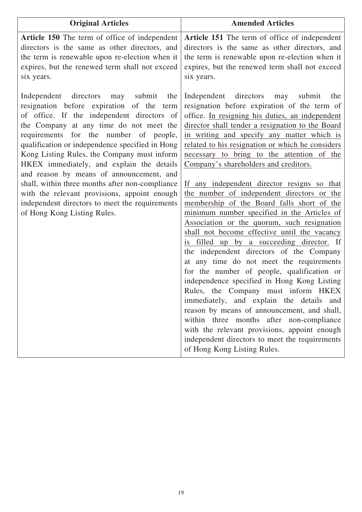| <b>Original Articles</b>                                                                                                                                                                                                                                                                                                                                                                                                                                                                                                                                                                               | <b>Amended Articles</b>                                                                                                                                                                                                                                                                                                                                                                                                                                                                                                                                                                                                                                                                                                                                                                                                                                                                                                                                                                                                                                                                                                                                                                                                                 |
|--------------------------------------------------------------------------------------------------------------------------------------------------------------------------------------------------------------------------------------------------------------------------------------------------------------------------------------------------------------------------------------------------------------------------------------------------------------------------------------------------------------------------------------------------------------------------------------------------------|-----------------------------------------------------------------------------------------------------------------------------------------------------------------------------------------------------------------------------------------------------------------------------------------------------------------------------------------------------------------------------------------------------------------------------------------------------------------------------------------------------------------------------------------------------------------------------------------------------------------------------------------------------------------------------------------------------------------------------------------------------------------------------------------------------------------------------------------------------------------------------------------------------------------------------------------------------------------------------------------------------------------------------------------------------------------------------------------------------------------------------------------------------------------------------------------------------------------------------------------|
| Article 150 The term of office of independent<br>directors is the same as other directors, and<br>the term is renewable upon re-election when it<br>expires, but the renewed term shall not exceed<br>six years.                                                                                                                                                                                                                                                                                                                                                                                       | Article 151 The term of office of independent<br>directors is the same as other directors, and<br>the term is renewable upon re-election when it<br>expires, but the renewed term shall not exceed<br>six years.                                                                                                                                                                                                                                                                                                                                                                                                                                                                                                                                                                                                                                                                                                                                                                                                                                                                                                                                                                                                                        |
| Independent directors may submit<br>the<br>resignation before expiration of the term<br>of office. If the independent directors of<br>the Company at any time do not meet the<br>requirements for the number of people,<br>qualification or independence specified in Hong<br>Kong Listing Rules, the Company must inform<br>HKEX immediately, and explain the details<br>and reason by means of announcement, and<br>shall, within three months after non-compliance<br>with the relevant provisions, appoint enough<br>independent directors to meet the requirements<br>of Hong Kong Listing Rules. | Independent directors<br>submit<br>may<br>the<br>resignation before expiration of the term of<br>office. In resigning his duties, an independent<br>director shall tender a resignation to the Board<br>in writing and specify any matter which is<br>related to his resignation or which he considers<br>necessary to bring to the attention of the<br>Company's shareholders and creditors.<br>If any independent director resigns so that<br>the number of independent directors or the<br>membership of the Board falls short of the<br>minimum number specified in the Articles of<br>Association or the quorum, such resignation<br>shall not become effective until the vacancy<br>is filled up by a succeeding director. If<br>the independent directors of the Company<br>at any time do not meet the requirements<br>for the number of people, qualification or<br>independence specified in Hong Kong Listing<br>Rules, the Company must inform HKEX<br>immediately, and explain the details and<br>reason by means of announcement, and shall,<br>within three months after non-compliance<br>with the relevant provisions, appoint enough<br>independent directors to meet the requirements<br>of Hong Kong Listing Rules. |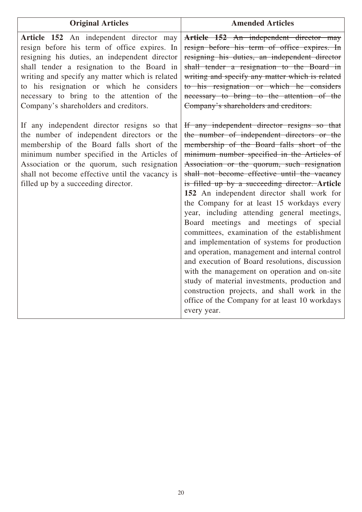| <b>Original Articles</b>                                                                                                                                                                                                                                                                                                                                                     | <b>Amended Articles</b>                                                                                                                                                                                                                                                                                                                                                                                                                                                                                                                                                                                                                                                                                                                                                                                                                                                                                                                            |
|------------------------------------------------------------------------------------------------------------------------------------------------------------------------------------------------------------------------------------------------------------------------------------------------------------------------------------------------------------------------------|----------------------------------------------------------------------------------------------------------------------------------------------------------------------------------------------------------------------------------------------------------------------------------------------------------------------------------------------------------------------------------------------------------------------------------------------------------------------------------------------------------------------------------------------------------------------------------------------------------------------------------------------------------------------------------------------------------------------------------------------------------------------------------------------------------------------------------------------------------------------------------------------------------------------------------------------------|
| Article 152 An independent director may<br>resign before his term of office expires. In<br>resigning his duties, an independent director<br>shall tender a resignation to the Board in<br>writing and specify any matter which is related<br>to his resignation or which he considers<br>necessary to bring to the attention of the<br>Company's shareholders and creditors. | Article 152 An independent director may<br>resign before his term of office expires. In<br>resigning his duties, an independent director<br>shall tender a resignation to the Board in<br>writing and specify any matter which is related<br>to his resignation or which he considers<br>necessary to bring to the attention of the<br>Company's shareholders and creditors.                                                                                                                                                                                                                                                                                                                                                                                                                                                                                                                                                                       |
| If any independent director resigns so that<br>the number of independent directors or the<br>membership of the Board falls short of the<br>minimum number specified in the Articles of<br>Association or the quorum, such resignation<br>shall not become effective until the vacancy is<br>filled up by a succeeding director.                                              | If any independent director resigns so that<br>the number of independent directors or the<br>membership of the Board falls short of the<br>minimum number specified in the Articles of<br>Association or the quorum, such resignation<br>shall not become effective until the vacancy<br>is filled up by a succeeding director. Article<br>152 An independent director shall work for<br>the Company for at least 15 workdays every<br>year, including attending general meetings,<br>Board meetings and meetings of special<br>committees, examination of the establishment<br>and implementation of systems for production<br>and operation, management and internal control<br>and execution of Board resolutions, discussion<br>with the management on operation and on-site<br>study of material investments, production and<br>construction projects, and shall work in the<br>office of the Company for at least 10 workdays<br>every year. |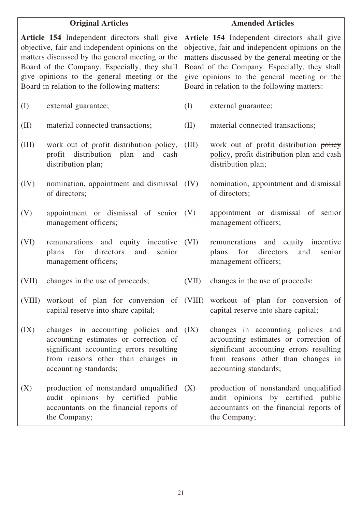| <b>Original Articles</b>                                                                                                                                                                                                                                                                         |                                                                                                                                                                                       | <b>Amended Articles</b>                                                                                                                                                                                                                                                                          |                                                                                                                                                                                       |  |
|--------------------------------------------------------------------------------------------------------------------------------------------------------------------------------------------------------------------------------------------------------------------------------------------------|---------------------------------------------------------------------------------------------------------------------------------------------------------------------------------------|--------------------------------------------------------------------------------------------------------------------------------------------------------------------------------------------------------------------------------------------------------------------------------------------------|---------------------------------------------------------------------------------------------------------------------------------------------------------------------------------------|--|
| Article 154 Independent directors shall give<br>objective, fair and independent opinions on the<br>matters discussed by the general meeting or the<br>Board of the Company. Especially, they shall<br>give opinions to the general meeting or the<br>Board in relation to the following matters: |                                                                                                                                                                                       | Article 154 Independent directors shall give<br>objective, fair and independent opinions on the<br>matters discussed by the general meeting or the<br>Board of the Company. Especially, they shall<br>give opinions to the general meeting or the<br>Board in relation to the following matters: |                                                                                                                                                                                       |  |
| (I)                                                                                                                                                                                                                                                                                              | external guarantee;                                                                                                                                                                   | (I)                                                                                                                                                                                                                                                                                              | external guarantee;                                                                                                                                                                   |  |
| (II)                                                                                                                                                                                                                                                                                             | material connected transactions;                                                                                                                                                      | (II)                                                                                                                                                                                                                                                                                             | material connected transactions;                                                                                                                                                      |  |
| (III)                                                                                                                                                                                                                                                                                            | work out of profit distribution policy,<br>distribution<br>profit<br>plan<br>and<br>cash<br>distribution plan;                                                                        | (III)                                                                                                                                                                                                                                                                                            | work out of profit distribution policy<br>policy, profit distribution plan and cash<br>distribution plan;                                                                             |  |
| (IV)                                                                                                                                                                                                                                                                                             | nomination, appointment and dismissal<br>of directors;                                                                                                                                | (IV)                                                                                                                                                                                                                                                                                             | nomination, appointment and dismissal<br>of directors;                                                                                                                                |  |
| (V)                                                                                                                                                                                                                                                                                              | appointment or dismissal of senior<br>management officers;                                                                                                                            | (V)                                                                                                                                                                                                                                                                                              | appointment or dismissal of senior<br>management officers;                                                                                                                            |  |
| (VI)                                                                                                                                                                                                                                                                                             | remunerations and equity incentive<br>for<br>directors<br>senior<br>plans<br>and<br>management officers;                                                                              | (VI)                                                                                                                                                                                                                                                                                             | remunerations and equity incentive<br>plans<br>for<br>directors<br>senior<br>and<br>management officers;                                                                              |  |
| (VII)                                                                                                                                                                                                                                                                                            | changes in the use of proceeds;                                                                                                                                                       | (VII)                                                                                                                                                                                                                                                                                            | changes in the use of proceeds;                                                                                                                                                       |  |
| (VIII)                                                                                                                                                                                                                                                                                           | workout of plan for conversion of<br>capital reserve into share capital;                                                                                                              | (VIII)                                                                                                                                                                                                                                                                                           | workout of plan for conversion of<br>capital reserve into share capital;                                                                                                              |  |
| (IX)                                                                                                                                                                                                                                                                                             | changes in accounting policies and<br>accounting estimates or correction of<br>significant accounting errors resulting<br>from reasons other than changes in<br>accounting standards; | (IX)                                                                                                                                                                                                                                                                                             | changes in accounting policies and<br>accounting estimates or correction of<br>significant accounting errors resulting<br>from reasons other than changes in<br>accounting standards; |  |
| (X)                                                                                                                                                                                                                                                                                              | production of nonstandard unqualified<br>audit opinions by certified public<br>accountants on the financial reports of<br>the Company;                                                | (X)                                                                                                                                                                                                                                                                                              | production of nonstandard unqualified<br>audit opinions by certified public<br>accountants on the financial reports of<br>the Company;                                                |  |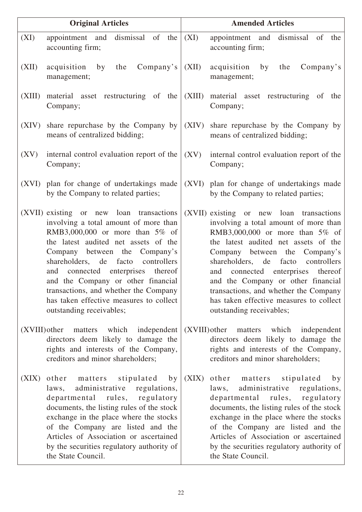|                 | <b>Original Articles</b>                                                                                                                                                                                                                                                                                                                                                                                                             |        | <b>Amended Articles</b>                                                                                                                                                                                                                                                                                                                                                                                                                 |
|-----------------|--------------------------------------------------------------------------------------------------------------------------------------------------------------------------------------------------------------------------------------------------------------------------------------------------------------------------------------------------------------------------------------------------------------------------------------|--------|-----------------------------------------------------------------------------------------------------------------------------------------------------------------------------------------------------------------------------------------------------------------------------------------------------------------------------------------------------------------------------------------------------------------------------------------|
| (XI)            | appointment and dismissal of the<br>accounting firm;                                                                                                                                                                                                                                                                                                                                                                                 | (XI)   | appointment and<br>dismissal of the<br>accounting firm;                                                                                                                                                                                                                                                                                                                                                                                 |
| (XII)           | Compar's<br>acquisition<br>by<br>the<br>management;                                                                                                                                                                                                                                                                                                                                                                                  | (XII)  | acquisition<br>Company's<br>by<br>the<br>management;                                                                                                                                                                                                                                                                                                                                                                                    |
| (XIII)          | material asset restructuring of the<br>Company;                                                                                                                                                                                                                                                                                                                                                                                      | (XIII) | material asset restructuring of the<br>Company;                                                                                                                                                                                                                                                                                                                                                                                         |
| (XIV)           | share repurchase by the Company by<br>means of centralized bidding;                                                                                                                                                                                                                                                                                                                                                                  | (XIV)  | share repurchase by the Company by<br>means of centralized bidding;                                                                                                                                                                                                                                                                                                                                                                     |
| (XV)            | internal control evaluation report of the<br>Company;                                                                                                                                                                                                                                                                                                                                                                                | (XV)   | internal control evaluation report of the<br>Company;                                                                                                                                                                                                                                                                                                                                                                                   |
| (XVI)           | plan for change of undertakings made<br>by the Company to related parties;                                                                                                                                                                                                                                                                                                                                                           |        | (XVI) plan for change of undertakings made<br>by the Company to related parties;                                                                                                                                                                                                                                                                                                                                                        |
|                 | (XVII) existing or new loan transactions<br>involving a total amount of more than<br>RMB3,000,000 or more than $5\%$ of<br>the latest audited net assets of the<br>Company between the Company's<br>shareholders, de facto<br>controllers<br>and connected enterprises thereof<br>and the Company or other financial<br>transactions, and whether the Company<br>has taken effective measures to collect<br>outstanding receivables; |        | (XVII) existing or new loan transactions<br>involving a total amount of more than<br>RMB3,000,000 or more than $5\%$ of<br>the latest audited net assets of the<br>Company between the<br>Company's<br>shareholders, de facto<br>controllers<br>and connected enterprises thereof<br>and the Company or other financial<br>transactions, and whether the Company<br>has taken effective measures to collect<br>outstanding receivables; |
| $(XVIII)$ other | matters which independent<br>directors deem likely to damage the<br>rights and interests of the Company,<br>creditors and minor shareholders;                                                                                                                                                                                                                                                                                        |        | (XVIII) other matters which independent<br>directors deem likely to damage the<br>rights and interests of the Company,<br>creditors and minor shareholders;                                                                                                                                                                                                                                                                             |
| (XIX)           | stipulated by<br>other matters<br>administrative regulations,<br>laws,<br>departmental rules, regulatory<br>documents, the listing rules of the stock<br>exchange in the place where the stocks<br>of the Company are listed and the<br>Articles of Association or ascertained<br>by the securities regulatory authority of<br>the State Council.                                                                                    | (XIX)  | other matters stipulated by<br>administrative regulations,<br>laws,<br>departmental rules, regulatory<br>documents, the listing rules of the stock<br>exchange in the place where the stocks<br>of the Company are listed and the<br>Articles of Association or ascertained<br>by the securities regulatory authority of<br>the State Council.                                                                                          |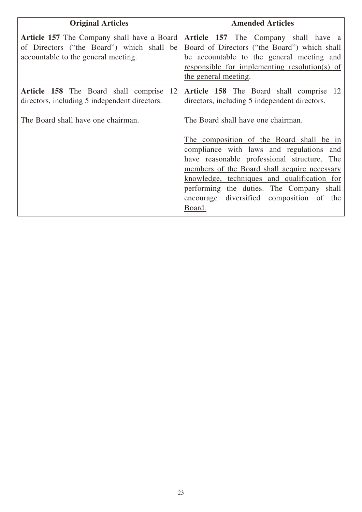| <b>Original Articles</b>                                                                                                              | <b>Amended Articles</b>                                                                                                                                                                                                                                                                                                                                                          |
|---------------------------------------------------------------------------------------------------------------------------------------|----------------------------------------------------------------------------------------------------------------------------------------------------------------------------------------------------------------------------------------------------------------------------------------------------------------------------------------------------------------------------------|
| <b>Article 157</b> The Company shall have a Board<br>of Directors ("the Board") which shall be<br>accountable to the general meeting. | Article 157 The Company shall have a<br>Board of Directors ("the Board") which shall<br>be accountable to the general meeting and<br>responsible for implementing resolution(s) of<br>the general meeting.                                                                                                                                                                       |
| Article 158 The Board shall comprise<br>12<br>directors, including 5 independent directors.                                           | Article 158 The Board shall comprise 12<br>directors, including 5 independent directors.                                                                                                                                                                                                                                                                                         |
| The Board shall have one chairman.                                                                                                    | The Board shall have one chairman.<br>The composition of the Board shall be in<br>compliance with laws and regulations and<br>have reasonable professional structure. The<br>members of the Board shall acquire necessary<br>knowledge, techniques and qualification for<br>performing the duties. The Company shall<br>encourage diversified composition<br>the<br>of<br>Board. |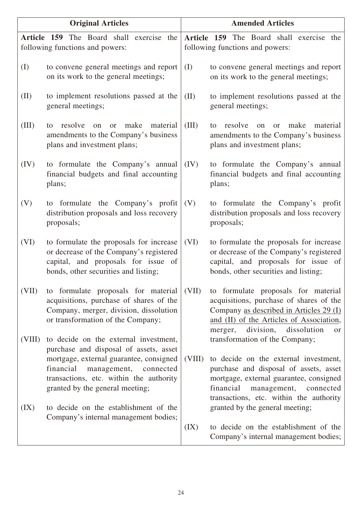| <b>Original Articles</b> |                                                                                                                                                                                                                                                                                            | <b>Amended Articles</b> |                                                                                                                                                                                                                                                                                  |
|--------------------------|--------------------------------------------------------------------------------------------------------------------------------------------------------------------------------------------------------------------------------------------------------------------------------------------|-------------------------|----------------------------------------------------------------------------------------------------------------------------------------------------------------------------------------------------------------------------------------------------------------------------------|
|                          | Article 159 The Board shall exercise the<br>following functions and powers:                                                                                                                                                                                                                |                         | Article 159 The Board shall exercise the<br>following functions and powers:                                                                                                                                                                                                      |
| (I)                      | to convene general meetings and report<br>on its work to the general meetings;                                                                                                                                                                                                             | (I)                     | to convene general meetings and report<br>on its work to the general meetings;                                                                                                                                                                                                   |
| (II)                     | to implement resolutions passed at the<br>general meetings;                                                                                                                                                                                                                                | (II)                    | to implement resolutions passed at the<br>general meetings;                                                                                                                                                                                                                      |
| (III)                    | make<br>resolve<br>material<br>to<br>$\alpha$<br>or<br>amendments to the Company's business<br>plans and investment plans;                                                                                                                                                                 | (III)                   | make<br>resolve<br>material<br>to<br>$\alpha$<br>or<br>amendments to the Company's business<br>plans and investment plans;                                                                                                                                                       |
| (IV)                     | to formulate the Company's annual<br>financial budgets and final accounting<br>plans;                                                                                                                                                                                                      | (IV)                    | to formulate the Company's annual<br>financial budgets and final accounting<br>plans;                                                                                                                                                                                            |
| (V)                      | to formulate the Company's profit<br>distribution proposals and loss recovery<br>proposals;                                                                                                                                                                                                | (V)                     | to formulate the Company's profit<br>distribution proposals and loss recovery<br>proposals;                                                                                                                                                                                      |
| (VI)                     | to formulate the proposals for increase<br>or decrease of the Company's registered<br>capital, and proposals for issue of<br>bonds, other securities and listing;                                                                                                                          | (VI)                    | to formulate the proposals for increase<br>or decrease of the Company's registered<br>capital, and proposals for issue of<br>bonds, other securities and listing;                                                                                                                |
| (VII)                    | to formulate proposals for material<br>acquisitions, purchase of shares of the<br>Company, merger, division, dissolution<br>or transformation of the Company;                                                                                                                              | (VII)                   | to formulate proposals for material<br>acquisitions, purchase of shares of the<br>Company as described in Articles 29 (I)<br>and (II) of the Articles of Association,<br>division,<br>dissolution<br>merger,<br>or                                                               |
| (VIII)<br>(IX)           | to decide on the external investment,<br>purchase and disposal of assets, asset<br>mortgage, external guarantee, consigned<br>financial<br>management,<br>connected<br>transactions, etc. within the authority<br>granted by the general meeting;<br>to decide on the establishment of the | (VIII)                  | transformation of the Company;<br>to decide on the external investment,<br>purchase and disposal of assets, asset<br>mortgage, external guarantee, consigned<br>financial<br>management, connected<br>transactions, etc. within the authority<br>granted by the general meeting; |
|                          | Company's internal management bodies;                                                                                                                                                                                                                                                      | (IX)                    | to decide on the establishment of the<br>Company's internal management bodies;                                                                                                                                                                                                   |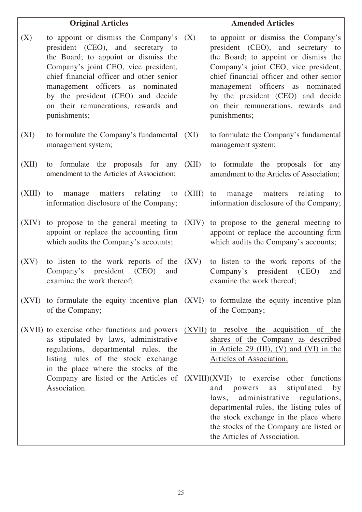|        | <b>Original Articles</b>                                                                                                                                                                                                                                                                                                             |             | <b>Amended Articles</b>                                                                                                                                                                                                                                                                                                              |
|--------|--------------------------------------------------------------------------------------------------------------------------------------------------------------------------------------------------------------------------------------------------------------------------------------------------------------------------------------|-------------|--------------------------------------------------------------------------------------------------------------------------------------------------------------------------------------------------------------------------------------------------------------------------------------------------------------------------------------|
| (X)    | to appoint or dismiss the Company's<br>president (CEO), and secretary to<br>the Board; to appoint or dismiss the<br>Company's joint CEO, vice president,<br>chief financial officer and other senior<br>management officers as nominated<br>by the president (CEO) and decide<br>on their remunerations, rewards and<br>punishments; | (X)         | to appoint or dismiss the Company's<br>president (CEO), and secretary to<br>the Board; to appoint or dismiss the<br>Company's joint CEO, vice president,<br>chief financial officer and other senior<br>management officers as nominated<br>by the president (CEO) and decide<br>on their remunerations, rewards and<br>punishments; |
| (XI)   | to formulate the Company's fundamental<br>management system;                                                                                                                                                                                                                                                                         | (XI)        | to formulate the Company's fundamental<br>management system;                                                                                                                                                                                                                                                                         |
| (XII)  | to formulate the proposals for any<br>amendment to the Articles of Association;                                                                                                                                                                                                                                                      | (XII)       | to formulate the proposals for any<br>amendment to the Articles of Association;                                                                                                                                                                                                                                                      |
| (XIII) | matters relating<br>to<br>manage<br>to<br>information disclosure of the Company;                                                                                                                                                                                                                                                     | $(XIII)$ to | manage matters relating<br>to<br>information disclosure of the Company;                                                                                                                                                                                                                                                              |
| (XIV)  | to propose to the general meeting to<br>appoint or replace the accounting firm<br>which audits the Company's accounts;                                                                                                                                                                                                               | (XIV)       | to propose to the general meeting to<br>appoint or replace the accounting firm<br>which audits the Company's accounts;                                                                                                                                                                                                               |
| (XV)   | to listen to the work reports of the<br>Company's president (CEO)<br>and<br>examine the work thereof;                                                                                                                                                                                                                                | (XV)        | to listen to the work reports of the<br>Company's president (CEO)<br>and<br>examine the work thereof;                                                                                                                                                                                                                                |
|        | (XVI) to formulate the equity incentive plan<br>of the Company;                                                                                                                                                                                                                                                                      |             | (XVI) to formulate the equity incentive plan<br>of the Company;                                                                                                                                                                                                                                                                      |
|        | (XVII) to exercise other functions and powers<br>as stipulated by laws, administrative<br>regulations, departmental rules, the<br>listing rules of the stock exchange                                                                                                                                                                |             | (XVII) to resolve the acquisition of the<br>shares of the Company as described<br>in Article 29 (III), (V) and (VI) in the<br>Articles of Association;                                                                                                                                                                               |
|        | in the place where the stocks of the<br>Company are listed or the Articles of<br>Association.                                                                                                                                                                                                                                        |             | $(XVIII)(XVH)$ to exercise other functions<br>and<br>stipulated<br>powers<br>by<br>as<br>administrative regulations,<br>laws,<br>departmental rules, the listing rules of<br>the stock exchange in the place where<br>the stocks of the Company are listed or<br>the Articles of Association.                                        |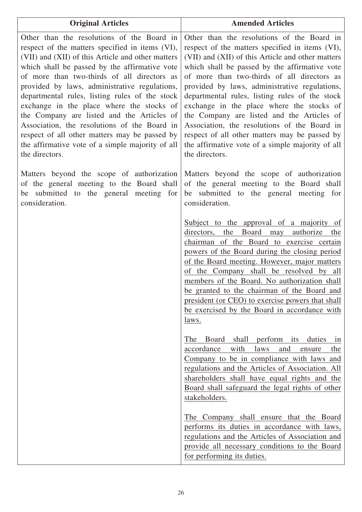| <b>Original Articles</b>                                                                                                                                                                                                                                                                                                                                                                                                                                                                                                                                                                                                | <b>Amended Articles</b>                                                                                                                                                                                                                                                                                                                                                                                                                                                                                                                                                                                                 |
|-------------------------------------------------------------------------------------------------------------------------------------------------------------------------------------------------------------------------------------------------------------------------------------------------------------------------------------------------------------------------------------------------------------------------------------------------------------------------------------------------------------------------------------------------------------------------------------------------------------------------|-------------------------------------------------------------------------------------------------------------------------------------------------------------------------------------------------------------------------------------------------------------------------------------------------------------------------------------------------------------------------------------------------------------------------------------------------------------------------------------------------------------------------------------------------------------------------------------------------------------------------|
| Other than the resolutions of the Board in<br>respect of the matters specified in items (VI),<br>(VII) and (XII) of this Article and other matters<br>which shall be passed by the affirmative vote<br>of more than two-thirds of all directors as<br>provided by laws, administrative regulations,<br>departmental rules, listing rules of the stock<br>exchange in the place where the stocks of<br>the Company are listed and the Articles of<br>Association, the resolutions of the Board in<br>respect of all other matters may be passed by<br>the affirmative vote of a simple majority of all<br>the directors. | Other than the resolutions of the Board in<br>respect of the matters specified in items (VI),<br>(VII) and (XII) of this Article and other matters<br>which shall be passed by the affirmative vote<br>of more than two-thirds of all directors as<br>provided by laws, administrative regulations,<br>departmental rules, listing rules of the stock<br>exchange in the place where the stocks of<br>the Company are listed and the Articles of<br>Association, the resolutions of the Board in<br>respect of all other matters may be passed by<br>the affirmative vote of a simple majority of all<br>the directors. |
| Matters beyond the scope of authorization<br>of the general meeting to the Board shall<br>be submitted to the general meeting for<br>consideration.                                                                                                                                                                                                                                                                                                                                                                                                                                                                     | Matters beyond the scope of authorization<br>of the general meeting to the Board shall<br>be submitted to the general meeting for<br>consideration.                                                                                                                                                                                                                                                                                                                                                                                                                                                                     |
|                                                                                                                                                                                                                                                                                                                                                                                                                                                                                                                                                                                                                         | Subject to the approval of a majority of<br>directors, the Board may<br>authorize<br>the<br>chairman of the Board to exercise certain<br>powers of the Board during the closing period<br>of the Board meeting. However, major matters<br>of the Company shall be resolved by all<br>members of the Board. No authorization shall<br>be granted to the chairman of the Board and<br>president (or CEO) to exercise powers that shall<br>be exercised by the Board in accordance with<br>laws.                                                                                                                           |
|                                                                                                                                                                                                                                                                                                                                                                                                                                                                                                                                                                                                                         | perform<br>The<br>Board<br>shall<br>duties<br>its<br>1n<br>accordance<br>with<br>laws<br>and<br>the<br>ensure<br>Company to be in compliance with laws and<br>regulations and the Articles of Association. All<br>shareholders shall have equal rights and the<br>Board shall safeguard the legal rights of other<br>stakeholders.                                                                                                                                                                                                                                                                                      |
|                                                                                                                                                                                                                                                                                                                                                                                                                                                                                                                                                                                                                         | The Company shall ensure that the Board<br>performs its duties in accordance with laws,<br>regulations and the Articles of Association and<br>provide all necessary conditions to the Board<br>for performing its duties.                                                                                                                                                                                                                                                                                                                                                                                               |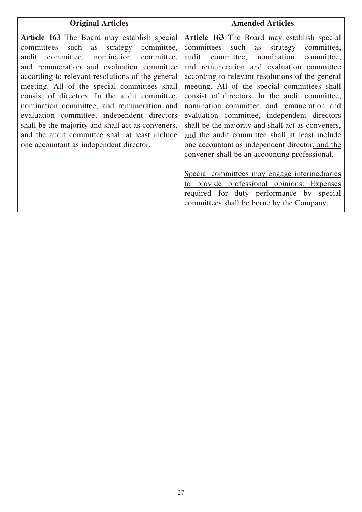| <b>Original Articles</b>                                                                                                                                                                                                                                                                                                                                                                                                                                                                                                                                                                      | <b>Amended Articles</b>                                                                                                                                                                                                                                                                                                                                                                                                                                                                                                                                                                                                                                                                                                                                                                                                                |
|-----------------------------------------------------------------------------------------------------------------------------------------------------------------------------------------------------------------------------------------------------------------------------------------------------------------------------------------------------------------------------------------------------------------------------------------------------------------------------------------------------------------------------------------------------------------------------------------------|----------------------------------------------------------------------------------------------------------------------------------------------------------------------------------------------------------------------------------------------------------------------------------------------------------------------------------------------------------------------------------------------------------------------------------------------------------------------------------------------------------------------------------------------------------------------------------------------------------------------------------------------------------------------------------------------------------------------------------------------------------------------------------------------------------------------------------------|
| <b>Article 163</b> The Board may establish special<br>committees such as strategy<br>committee,<br>committee, nomination committee,<br>audit<br>and remuneration and evaluation committee<br>according to relevant resolutions of the general<br>meeting. All of the special committees shall<br>consist of directors. In the audit committee,<br>nomination committee, and remuneration and<br>evaluation committee, independent directors<br>shall be the majority and shall act as conveners,<br>and the audit committee shall at least include<br>one accountant as independent director. | Article 163 The Board may establish special<br>committees such as strategy<br>committee,<br>committee, nomination committee,<br>audit<br>and remuneration and evaluation committee<br>according to relevant resolutions of the general<br>meeting. All of the special committees shall<br>consist of directors. In the audit committee,<br>nomination committee, and remuneration and<br>evaluation committee, independent directors<br>shall be the majority and shall act as conveners,<br>and the audit committee shall at least include<br>one accountant as independent director, and the<br>convener shall be an accounting professional.<br>Special committees may engage intermediaries<br>to provide professional opinions. Expenses<br>required for duty performance by special<br>committees shall be borne by the Company. |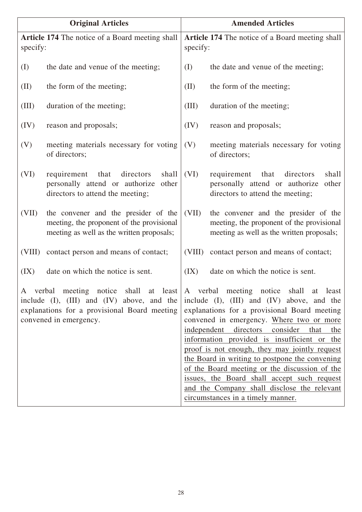| <b>Original Articles</b> |                                                                                                                                | <b>Amended Articles</b>                                     |                                                                                                                                                                                                                                                                                                                                                                                                                                                                                                                                                                                                          |
|--------------------------|--------------------------------------------------------------------------------------------------------------------------------|-------------------------------------------------------------|----------------------------------------------------------------------------------------------------------------------------------------------------------------------------------------------------------------------------------------------------------------------------------------------------------------------------------------------------------------------------------------------------------------------------------------------------------------------------------------------------------------------------------------------------------------------------------------------------------|
| specify:                 | Article 174 The notice of a Board meeting shall                                                                                | Article 174 The notice of a Board meeting shall<br>specify: |                                                                                                                                                                                                                                                                                                                                                                                                                                                                                                                                                                                                          |
| (I)                      | the date and venue of the meeting;                                                                                             | (I)                                                         | the date and venue of the meeting;                                                                                                                                                                                                                                                                                                                                                                                                                                                                                                                                                                       |
| (II)                     | the form of the meeting;                                                                                                       | (II)                                                        | the form of the meeting;                                                                                                                                                                                                                                                                                                                                                                                                                                                                                                                                                                                 |
| (III)                    | duration of the meeting;                                                                                                       | (III)                                                       | duration of the meeting;                                                                                                                                                                                                                                                                                                                                                                                                                                                                                                                                                                                 |
| (IV)                     | reason and proposals;                                                                                                          | (IV)                                                        | reason and proposals;                                                                                                                                                                                                                                                                                                                                                                                                                                                                                                                                                                                    |
| (V)                      | meeting materials necessary for voting<br>of directors;                                                                        | (V)                                                         | meeting materials necessary for voting<br>of directors;                                                                                                                                                                                                                                                                                                                                                                                                                                                                                                                                                  |
| (VI)                     | that<br>directors<br>shall<br>requirement<br>personally attend or authorize other<br>directors to attend the meeting;          | (VI)                                                        | directors<br>shall<br>requirement<br>that<br>personally attend or authorize<br>other<br>directors to attend the meeting;                                                                                                                                                                                                                                                                                                                                                                                                                                                                                 |
| (VII)                    | the convener and the presider of the<br>meeting, the proponent of the provisional<br>meeting as well as the written proposals; | (VII)                                                       | the convener and the presider of the<br>meeting, the proponent of the provisional<br>meeting as well as the written proposals;                                                                                                                                                                                                                                                                                                                                                                                                                                                                           |
| (VIII)                   | contact person and means of contact;                                                                                           | (VIII)                                                      | contact person and means of contact;                                                                                                                                                                                                                                                                                                                                                                                                                                                                                                                                                                     |
| (IX)                     | date on which the notice is sent.                                                                                              | (IX)                                                        | date on which the notice is sent.                                                                                                                                                                                                                                                                                                                                                                                                                                                                                                                                                                        |
|                          | include (I), (III) and (IV) above, and the<br>explanations for a provisional Board meeting<br>convened in emergency.           |                                                             | A verbal meeting notice shall at least A verbal meeting notice shall at least<br>include (I), (III) and (IV) above, and the<br>explanations for a provisional Board meeting<br>convened in emergency. Where two or more<br>independent directors consider that the<br>information provided is insufficient or the<br>proof is not enough, they may jointly request<br>the Board in writing to postpone the convening<br>of the Board meeting or the discussion of the<br>issues, the Board shall accept such request<br>and the Company shall disclose the relevant<br>circumstances in a timely manner. |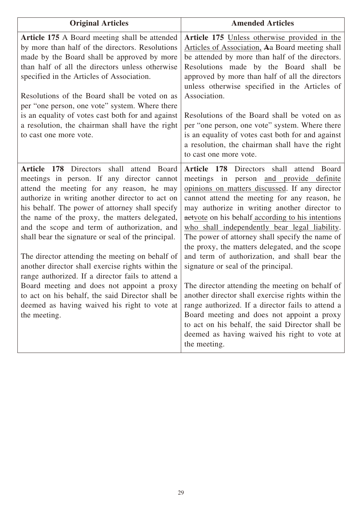| <b>Original Articles</b>                                                                                                                                                                                                                                                                                                                                                                                                                                                                                                                                                                                                                                                                                                        | <b>Amended Articles</b>                                                                                                                                                                                                                                                                                                                                                                                                                                                                                                                                                                                                                                                                                                                                                                                                                                                  |
|---------------------------------------------------------------------------------------------------------------------------------------------------------------------------------------------------------------------------------------------------------------------------------------------------------------------------------------------------------------------------------------------------------------------------------------------------------------------------------------------------------------------------------------------------------------------------------------------------------------------------------------------------------------------------------------------------------------------------------|--------------------------------------------------------------------------------------------------------------------------------------------------------------------------------------------------------------------------------------------------------------------------------------------------------------------------------------------------------------------------------------------------------------------------------------------------------------------------------------------------------------------------------------------------------------------------------------------------------------------------------------------------------------------------------------------------------------------------------------------------------------------------------------------------------------------------------------------------------------------------|
| Article 175 A Board meeting shall be attended<br>by more than half of the directors. Resolutions<br>made by the Board shall be approved by more<br>than half of all the directors unless otherwise<br>specified in the Articles of Association.<br>Resolutions of the Board shall be voted on as<br>per "one person, one vote" system. Where there<br>is an equality of votes cast both for and against<br>a resolution, the chairman shall have the right<br>to cast one more vote.                                                                                                                                                                                                                                            | Article 175 Unless otherwise provided in the<br>Articles of Association, Aa Board meeting shall<br>be attended by more than half of the directors.<br>Resolutions made by the Board shall be<br>approved by more than half of all the directors<br>unless otherwise specified in the Articles of<br>Association.<br>Resolutions of the Board shall be voted on as<br>per "one person, one vote" system. Where there<br>is an equality of votes cast both for and against<br>a resolution, the chairman shall have the right<br>to cast one more vote.                                                                                                                                                                                                                                                                                                                    |
| Article 178 Directors shall attend Board<br>meetings in person. If any director cannot<br>attend the meeting for any reason, he may<br>authorize in writing another director to act on<br>his behalf. The power of attorney shall specify<br>the name of the proxy, the matters delegated,<br>and the scope and term of authorization, and<br>shall bear the signature or seal of the principal.<br>The director attending the meeting on behalf of<br>another director shall exercise rights within the<br>range authorized. If a director fails to attend a<br>Board meeting and does not appoint a proxy<br>to act on his behalf, the said Director shall be<br>deemed as having waived his right to vote at<br>the meeting. | Article 178 Directors shall attend Board<br>meetings in person and provide definite<br>opinions on matters discussed. If any director<br>cannot attend the meeting for any reason, he<br>may authorize in writing another director to<br>actyote on his behalf according to his intentions<br>who shall independently bear legal liability.<br>The power of attorney shall specify the name of<br>the proxy, the matters delegated, and the scope<br>and term of authorization, and shall bear the<br>signature or seal of the principal.<br>The director attending the meeting on behalf of<br>another director shall exercise rights within the<br>range authorized. If a director fails to attend a<br>Board meeting and does not appoint a proxy<br>to act on his behalf, the said Director shall be<br>deemed as having waived his right to vote at<br>the meeting. |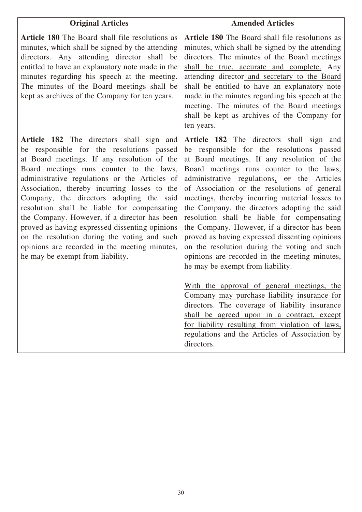| <b>Original Articles</b>                                                                                                                                                                                                                                                                                                                                                                                                                                                                                                                                                                                            | <b>Amended Articles</b>                                                                                                                                                                                                                                                                                                                                                                                                                                                                                                                                                                                                                                                                                                                                               |
|---------------------------------------------------------------------------------------------------------------------------------------------------------------------------------------------------------------------------------------------------------------------------------------------------------------------------------------------------------------------------------------------------------------------------------------------------------------------------------------------------------------------------------------------------------------------------------------------------------------------|-----------------------------------------------------------------------------------------------------------------------------------------------------------------------------------------------------------------------------------------------------------------------------------------------------------------------------------------------------------------------------------------------------------------------------------------------------------------------------------------------------------------------------------------------------------------------------------------------------------------------------------------------------------------------------------------------------------------------------------------------------------------------|
| <b>Article 180</b> The Board shall file resolutions as<br>minutes, which shall be signed by the attending<br>directors. Any attending director shall be<br>entitled to have an explanatory note made in the<br>minutes regarding his speech at the meeting.<br>The minutes of the Board meetings shall be<br>kept as archives of the Company for ten years.                                                                                                                                                                                                                                                         | <b>Article 180</b> The Board shall file resolutions as<br>minutes, which shall be signed by the attending<br>directors. The minutes of the Board meetings<br>shall be true, accurate and complete. Any<br>attending director_and_secretary_to_the_Board<br>shall be entitled to have an explanatory note<br>made in the minutes regarding his speech at the<br>meeting. The minutes of the Board meetings<br>shall be kept as archives of the Company for<br>ten years.                                                                                                                                                                                                                                                                                               |
| Article 182 The directors shall sign and<br>be responsible for the resolutions passed<br>at Board meetings. If any resolution of the<br>Board meetings runs counter to the laws,<br>administrative regulations or the Articles of<br>Association, thereby incurring losses to the<br>Company, the directors adopting the said<br>resolution shall be liable for compensating<br>the Company. However, if a director has been<br>proved as having expressed dissenting opinions<br>on the resolution during the voting and such<br>opinions are recorded in the meeting minutes,<br>he may be exempt from liability. | Article 182 The directors shall sign and<br>be responsible for the resolutions passed<br>at Board meetings. If any resolution of the<br>Board meetings runs counter to the laws,<br>administrative regulations, or the Articles<br>of Association or the resolutions of general<br>meetings, thereby incurring material losses to<br>the Company, the directors adopting the said<br>resolution shall be liable for compensating<br>the Company. However, if a director has been<br>proved as having expressed dissenting opinions<br>on the resolution during the voting and such<br>opinions are recorded in the meeting minutes,<br>he may be exempt from liability.<br>With the approval of general meetings, the<br>Company may purchase liability insurance for |
|                                                                                                                                                                                                                                                                                                                                                                                                                                                                                                                                                                                                                     | directors. The coverage of liability insurance<br>shall be agreed upon in a contract, except<br>for liability resulting from violation of laws,<br>regulations and the Articles of Association by<br>directors.                                                                                                                                                                                                                                                                                                                                                                                                                                                                                                                                                       |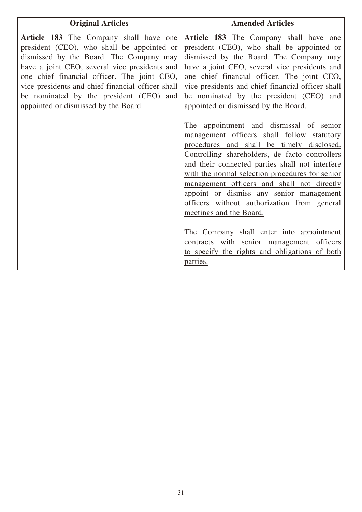| <b>Original Articles</b>                                                                                                                                                                                                                                                                                                                                                | <b>Amended Articles</b>                                                                                                                                                                                                                                                                                                                                                                                                                                                                                                                                                   |
|-------------------------------------------------------------------------------------------------------------------------------------------------------------------------------------------------------------------------------------------------------------------------------------------------------------------------------------------------------------------------|---------------------------------------------------------------------------------------------------------------------------------------------------------------------------------------------------------------------------------------------------------------------------------------------------------------------------------------------------------------------------------------------------------------------------------------------------------------------------------------------------------------------------------------------------------------------------|
| Article 183 The Company shall have one<br>president (CEO), who shall be appointed or<br>dismissed by the Board. The Company may<br>have a joint CEO, several vice presidents and<br>one chief financial officer. The joint CEO,<br>vice presidents and chief financial officer shall<br>be nominated by the president (CEO) and<br>appointed or dismissed by the Board. | Article 183 The Company shall have one<br>president (CEO), who shall be appointed or<br>dismissed by the Board. The Company may<br>have a joint CEO, several vice presidents and<br>one chief financial officer. The joint CEO,<br>vice presidents and chief financial officer shall<br>be nominated by the president (CEO) and<br>appointed or dismissed by the Board.<br>The appointment and dismissal of senior                                                                                                                                                        |
|                                                                                                                                                                                                                                                                                                                                                                         | management officers shall follow statutory<br>procedures and shall be timely disclosed.<br>Controlling shareholders, de facto controllers<br>and their connected parties shall not interfere<br>with the normal selection procedures for senior<br>management officers and shall not directly<br>appoint or dismiss any senior management<br>officers without authorization from general<br>meetings and the Board.<br>The Company shall enter into appointment<br>contracts with senior management officers<br>to specify the rights and obligations of both<br>parties. |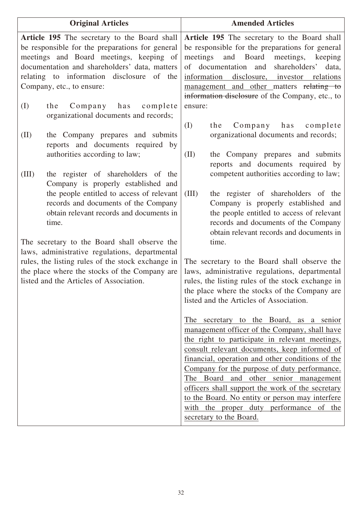| <b>Original Articles</b>                                                                                                                                                                                                                                              | <b>Amended Articles</b>                                                                                                                                                                                                                                                                                                                      |
|-----------------------------------------------------------------------------------------------------------------------------------------------------------------------------------------------------------------------------------------------------------------------|----------------------------------------------------------------------------------------------------------------------------------------------------------------------------------------------------------------------------------------------------------------------------------------------------------------------------------------------|
| Article 195 The secretary to the Board shall<br>be responsible for the preparations for general<br>meetings and Board meetings, keeping of<br>documentation and shareholders' data, matters<br>relating to information disclosure of the<br>Company, etc., to ensure: | Article 195 The secretary to the Board shall<br>be responsible for the preparations for general<br>and Board meetings,<br>meetings<br>keeping<br>shareholders'<br>of documentation and<br>data,<br>information disclosure, investor relations<br>management and other matters relating to<br>information disclosure of the Company, etc., to |
| (I)<br>Company has<br>complete<br>the<br>organizational documents and records;                                                                                                                                                                                        | ensure:                                                                                                                                                                                                                                                                                                                                      |
| the Company prepares and submits<br>(II)<br>reports and documents required by<br>authorities according to law;                                                                                                                                                        | Company has<br>(I)<br>complete<br>the<br>organizational documents and records;<br>(II)<br>the Company prepares and submits                                                                                                                                                                                                                   |
| the register of shareholders of the<br>(III)<br>Company is properly established and                                                                                                                                                                                   | reports and documents required by<br>competent authorities according to law;                                                                                                                                                                                                                                                                 |
| the people entitled to access of relevant<br>records and documents of the Company<br>obtain relevant records and documents in<br>time.                                                                                                                                | (III)<br>the register of shareholders of the<br>Company is properly established and<br>the people entitled to access of relevant<br>records and documents of the Company<br>obtain relevant records and documents in                                                                                                                         |
| The secretary to the Board shall observe the                                                                                                                                                                                                                          | time.                                                                                                                                                                                                                                                                                                                                        |
| laws, administrative regulations, departmental<br>rules, the listing rules of the stock exchange in<br>the place where the stocks of the Company are<br>listed and the Articles of Association.                                                                       | The secretary to the Board shall observe the<br>laws, administrative regulations, departmental<br>rules, the listing rules of the stock exchange in<br>the place where the stocks of the Company are<br>listed and the Articles of Association.                                                                                              |
|                                                                                                                                                                                                                                                                       | The secretary to the Board, as a senior<br>management officer of the Company, shall have<br>the right to participate in relevant meetings,<br>consult relevant documents, keep informed of                                                                                                                                                   |
|                                                                                                                                                                                                                                                                       | financial, operation and other conditions of the<br>Company for the purpose of duty performance.<br>The Board and other senior management                                                                                                                                                                                                    |
|                                                                                                                                                                                                                                                                       | officers shall support the work of the secretary<br>to the Board. No entity or person may interfere                                                                                                                                                                                                                                          |
|                                                                                                                                                                                                                                                                       | with the proper duty performance of the<br>secretary to the Board.                                                                                                                                                                                                                                                                           |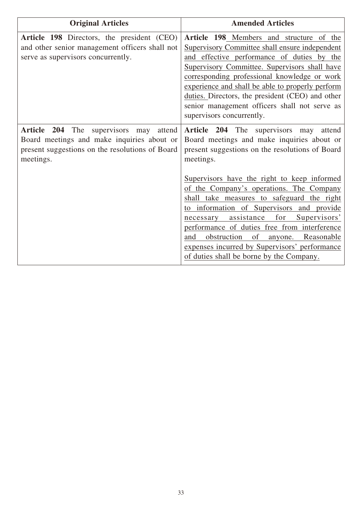| <b>Original Articles</b>                                                                                                                             | <b>Amended Articles</b>                                                                                                                                                                                                                                                                                                                                                                                                         |
|------------------------------------------------------------------------------------------------------------------------------------------------------|---------------------------------------------------------------------------------------------------------------------------------------------------------------------------------------------------------------------------------------------------------------------------------------------------------------------------------------------------------------------------------------------------------------------------------|
| Article 198 Directors, the president (CEO)<br>and other senior management officers shall not<br>serve as supervisors concurrently.                   | Article 198 Members and structure of the<br>Supervisory Committee shall ensure independent<br>and effective performance of duties by the<br>Supervisory Committee. Supervisors shall have<br>corresponding professional knowledge or work<br>experience and shall be able to properly perform<br>duties. Directors, the president (CEO) and other<br>senior management officers shall not serve as<br>supervisors concurrently. |
| Article 204 The supervisors may attend<br>Board meetings and make inquiries about or<br>present suggestions on the resolutions of Board<br>meetings. | Article 204 The supervisors may<br>attend<br>Board meetings and make inquiries about or<br>present suggestions on the resolutions of Board<br>meetings.                                                                                                                                                                                                                                                                         |
|                                                                                                                                                      | Supervisors have the right to keep informed<br>of the Company's operations. The Company<br>shall take measures to safeguard the right<br>to information of Supervisors and provide<br>for<br>necessary assistance<br>Supervisors'<br>performance of duties free from interference<br>obstruction of<br>anyone. Reasonable<br>and<br>expenses incurred by Supervisors' performance<br>of duties shall be borne by the Company.   |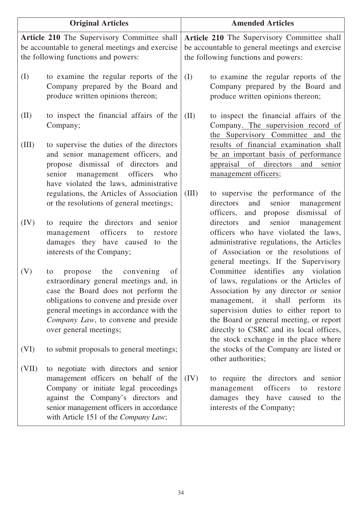| <b>Original Articles</b> |                                                                                                                                                                                                                                                                                 |       | <b>Amended Articles</b>                                                                                                                                                                                                                                                                                                             |
|--------------------------|---------------------------------------------------------------------------------------------------------------------------------------------------------------------------------------------------------------------------------------------------------------------------------|-------|-------------------------------------------------------------------------------------------------------------------------------------------------------------------------------------------------------------------------------------------------------------------------------------------------------------------------------------|
|                          | Article 210 The Supervisory Committee shall<br>be accountable to general meetings and exercise<br>the following functions and powers:                                                                                                                                           |       | Article 210 The Supervisory Committee shall<br>be accountable to general meetings and exercise<br>the following functions and powers:                                                                                                                                                                                               |
| (I)                      | to examine the regular reports of the<br>Company prepared by the Board and<br>produce written opinions thereon;                                                                                                                                                                 | (I)   | to examine the regular reports of the<br>Company prepared by the Board and<br>produce written opinions thereon;                                                                                                                                                                                                                     |
| (II)                     | to inspect the financial affairs of the<br>Company;                                                                                                                                                                                                                             | (II)  | to inspect the financial affairs of the<br>Company. The supervision record of                                                                                                                                                                                                                                                       |
| (III)                    | to supervise the duties of the directors<br>and senior management officers, and<br>propose dismissal of directors<br>and<br>management officers<br>senior<br>who<br>have violated the laws, administrative<br>regulations, the Articles of Association                          | (III) | the Supervisory Committee and the<br>results of financial examination shall<br>be an important basis of performance<br>of directors<br>appraisal<br>and<br>senior<br>management officers;<br>to supervise the performance of the                                                                                                    |
|                          | or the resolutions of general meetings;                                                                                                                                                                                                                                         |       | directors<br>senior<br>and<br>management<br>officers,<br>and propose<br>dismissal of                                                                                                                                                                                                                                                |
| (IV)                     | to require the directors and senior<br>officers<br>management<br>restore<br>to<br>damages they have caused to the<br>interests of the Company;                                                                                                                                  |       | and<br>senior<br>directors<br>management<br>officers who have violated the laws,<br>administrative regulations, the Articles<br>of Association or the resolutions of<br>general meetings. If the Supervisory                                                                                                                        |
| (V)                      | the<br>convening<br>of<br>propose<br>to<br>extraordinary general meetings and, in<br>case the Board does not perform the<br>obligations to convene and preside over<br>general meetings in accordance with the<br>Company Law, to convene and preside<br>over general meetings; |       | Committee identifies any violation<br>of laws, regulations or the Articles of<br>Association by any director or senior<br>management, it shall perform its<br>supervision duties to either report to<br>the Board or general meeting, or report<br>directly to CSRC and its local offices,<br>the stock exchange in the place where |
| (VI)                     | to submit proposals to general meetings;                                                                                                                                                                                                                                        |       | the stocks of the Company are listed or<br>other authorities;                                                                                                                                                                                                                                                                       |
| (VII)                    | to negotiate with directors and senior<br>management officers on behalf of the<br>Company or initiate legal proceedings<br>against the Company's directors and<br>senior management officers in accordance<br>with Article 151 of the Company Law;                              | (IV)  | to require the directors and senior<br>officers<br>management<br>to<br>restore<br>damages they have caused to the<br>interests of the Company;                                                                                                                                                                                      |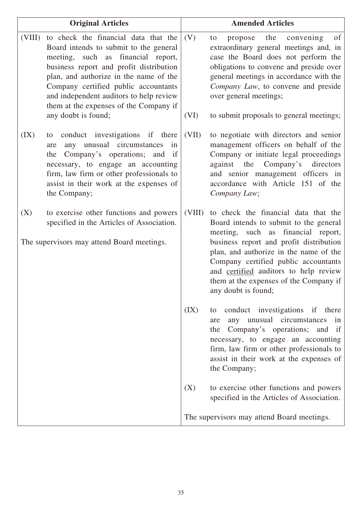| <b>Original Articles</b> |                                                                                                                                                                                                                                                                                                                                                               |             | <b>Amended Articles</b>                                                                                                                                                                                                                                                                                                                                     |
|--------------------------|---------------------------------------------------------------------------------------------------------------------------------------------------------------------------------------------------------------------------------------------------------------------------------------------------------------------------------------------------------------|-------------|-------------------------------------------------------------------------------------------------------------------------------------------------------------------------------------------------------------------------------------------------------------------------------------------------------------------------------------------------------------|
| (VIII)                   | to check the financial data that the<br>Board intends to submit to the general<br>meeting, such as financial report,<br>business report and profit distribution<br>plan, and authorize in the name of the<br>Company certified public accountants<br>and independent auditors to help review<br>them at the expenses of the Company if<br>any doubt is found; | (V)<br>(VI) | of<br>the<br>convening<br>propose<br>to<br>extraordinary general meetings and, in<br>case the Board does not perform the<br>obligations to convene and preside over<br>general meetings in accordance with the<br>Company Law, to convene and preside<br>over general meetings;<br>to submit proposals to general meetings;                                 |
| (IX)                     | conduct investigations if there<br>to<br>any unusual circumstances<br>in<br>are<br>Company's operations; and if<br>the<br>necessary, to engage an accounting<br>firm, law firm or other professionals to<br>assist in their work at the expenses of<br>the Company;                                                                                           | (VII)       | to negotiate with directors and senior<br>management officers on behalf of the<br>Company or initiate legal proceedings<br>against the<br>Company's<br>directors<br>and senior management officers in<br>accordance with Article 151 of the<br>Company Law;                                                                                                 |
| (X)                      | to exercise other functions and powers<br>specified in the Articles of Association.<br>The supervisors may attend Board meetings.                                                                                                                                                                                                                             | (VIII)      | to check the financial data that the<br>Board intends to submit to the general<br>meeting, such as financial report,<br>business report and profit distribution<br>plan, and authorize in the name of the<br>Company certified public accountants<br>and certified auditors to help review<br>them at the expenses of the Company if<br>any doubt is found; |
|                          |                                                                                                                                                                                                                                                                                                                                                               | (IX)        | conduct investigations if there<br>to<br>any unusual circumstances<br>in<br>are<br>Company's operations; and<br>the<br>if<br>necessary, to engage an accounting<br>firm, law firm or other professionals to<br>assist in their work at the expenses of<br>the Company;                                                                                      |
|                          |                                                                                                                                                                                                                                                                                                                                                               | (X)         | to exercise other functions and powers<br>specified in the Articles of Association.                                                                                                                                                                                                                                                                         |
|                          |                                                                                                                                                                                                                                                                                                                                                               |             | The supervisors may attend Board meetings.                                                                                                                                                                                                                                                                                                                  |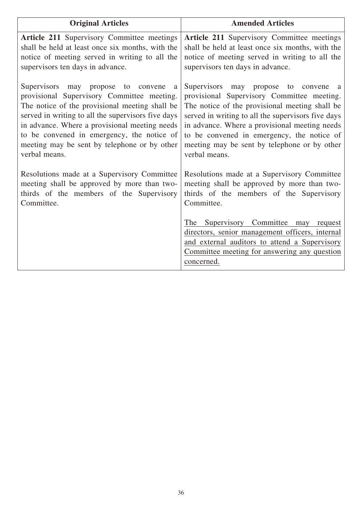| <b>Original Articles</b>                                                                                                                                                                                                                                                                                                                                         | <b>Amended Articles</b>                                                                                                                                                                                                                                                                                                                                    |
|------------------------------------------------------------------------------------------------------------------------------------------------------------------------------------------------------------------------------------------------------------------------------------------------------------------------------------------------------------------|------------------------------------------------------------------------------------------------------------------------------------------------------------------------------------------------------------------------------------------------------------------------------------------------------------------------------------------------------------|
| <b>Article 211 Supervisory Committee meetings</b><br>shall be held at least once six months, with the<br>notice of meeting served in writing to all the<br>supervisors ten days in advance.                                                                                                                                                                      | Article 211 Supervisory Committee meetings<br>shall be held at least once six months, with the<br>notice of meeting served in writing to all the<br>supervisors ten days in advance.                                                                                                                                                                       |
| Supervisors may propose to<br>convene<br>a<br>provisional Supervisory Committee meeting.<br>The notice of the provisional meeting shall be<br>served in writing to all the supervisors five days<br>in advance. Where a provisional meeting needs<br>to be convened in emergency, the notice of<br>meeting may be sent by telephone or by other<br>verbal means. | Supervisors may propose to convene a<br>provisional Supervisory Committee meeting.<br>The notice of the provisional meeting shall be<br>served in writing to all the supervisors five days<br>in advance. Where a provisional meeting needs<br>to be convened in emergency, the notice of<br>meeting may be sent by telephone or by other<br>verbal means. |
| Resolutions made at a Supervisory Committee<br>meeting shall be approved by more than two-<br>thirds of the members of the Supervisory<br>Committee.                                                                                                                                                                                                             | Resolutions made at a Supervisory Committee<br>meeting shall be approved by more than two-<br>thirds of the members of the Supervisory<br>Committee.                                                                                                                                                                                                       |
|                                                                                                                                                                                                                                                                                                                                                                  | The Supervisory Committee may request<br>directors, senior management officers, internal<br>and external auditors to attend a Supervisory<br>Committee meeting for answering any question<br>concerned.                                                                                                                                                    |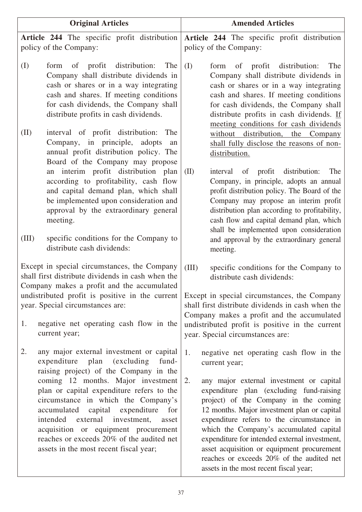|                                                                                     | <b>Original Articles</b>                                                                                                                                                                                                                                                                                                                        | <b>Amended Articles</b>                                                                                                                                                                                                                                                                                                                                                                                                                                          |
|-------------------------------------------------------------------------------------|-------------------------------------------------------------------------------------------------------------------------------------------------------------------------------------------------------------------------------------------------------------------------------------------------------------------------------------------------|------------------------------------------------------------------------------------------------------------------------------------------------------------------------------------------------------------------------------------------------------------------------------------------------------------------------------------------------------------------------------------------------------------------------------------------------------------------|
|                                                                                     | Article 244 The specific profit distribution<br>policy of the Company:                                                                                                                                                                                                                                                                          | Article 244 The specific profit distribution<br>policy of the Company:                                                                                                                                                                                                                                                                                                                                                                                           |
| (I)                                                                                 | of profit<br>distribution:<br>The<br>form<br>Company shall distribute dividends in<br>cash or shares or in a way integrating<br>cash and shares. If meeting conditions<br>for cash dividends, the Company shall<br>distribute profits in cash dividends.                                                                                        | (I)<br>distribution:<br>The<br>of profit<br>form<br>Company shall distribute dividends in<br>cash or shares or in a way integrating<br>cash and shares. If meeting conditions<br>for cash dividends, the Company shall<br>distribute profits in cash dividends. If<br>meeting conditions for cash dividends                                                                                                                                                      |
| (II)                                                                                | interval of profit distribution: The<br>Company, in principle,<br>adopts<br>an<br>annual profit distribution policy. The                                                                                                                                                                                                                        | without<br>distribution,<br>the<br>Company<br>shall fully disclose the reasons of non-<br>distribution.                                                                                                                                                                                                                                                                                                                                                          |
|                                                                                     | Board of the Company may propose<br>an interim profit distribution plan<br>according to profitability, cash flow<br>and capital demand plan, which shall<br>be implemented upon consideration and<br>approval by the extraordinary general<br>meeting.                                                                                          | (II)<br>of profit distribution:<br>The<br>interval<br>Company, in principle, adopts an annual<br>profit distribution policy. The Board of the<br>Company may propose an interim profit<br>distribution plan according to profitability,<br>cash flow and capital demand plan, which<br>shall be implemented upon consideration                                                                                                                                   |
| (III)                                                                               | specific conditions for the Company to<br>distribute cash dividends:                                                                                                                                                                                                                                                                            | and approval by the extraordinary general<br>meeting.                                                                                                                                                                                                                                                                                                                                                                                                            |
|                                                                                     | Except in special circumstances, the Company<br>shall first distribute dividends in cash when the<br>Company makes a profit and the accumulated                                                                                                                                                                                                 | (III)<br>specific conditions for the Company to<br>distribute cash dividends:                                                                                                                                                                                                                                                                                                                                                                                    |
| undistributed profit is positive in the current<br>year. Special circumstances are: |                                                                                                                                                                                                                                                                                                                                                 | Except in special circumstances, the Company<br>shall first distribute dividends in cash when the<br>Company makes a profit and the accumulated                                                                                                                                                                                                                                                                                                                  |
| 1.                                                                                  | negative net operating cash flow in the<br>current year;                                                                                                                                                                                                                                                                                        | undistributed profit is positive in the current<br>year. Special circumstances are:                                                                                                                                                                                                                                                                                                                                                                              |
| 2.                                                                                  | any major external investment or capital<br>expenditure plan<br>(excluding)<br>fund-<br>raising project) of the Company in the                                                                                                                                                                                                                  | 1.<br>negative net operating cash flow in the<br>current year;                                                                                                                                                                                                                                                                                                                                                                                                   |
|                                                                                     | coming 12 months. Major investment<br>plan or capital expenditure refers to the<br>circumstance in which the Company's<br>accumulated capital expenditure<br>for<br>external<br>intended<br>investment,<br>asset<br>acquisition or equipment procurement<br>reaches or exceeds 20% of the audited net<br>assets in the most recent fiscal year; | 2.<br>any major external investment or capital<br>expenditure plan (excluding fund-raising<br>project) of the Company in the coming<br>12 months. Major investment plan or capital<br>expenditure refers to the circumstance in<br>which the Company's accumulated capital<br>expenditure for intended external investment,<br>asset acquisition or equipment procurement<br>reaches or exceeds 20% of the audited net<br>assets in the most recent fiscal year; |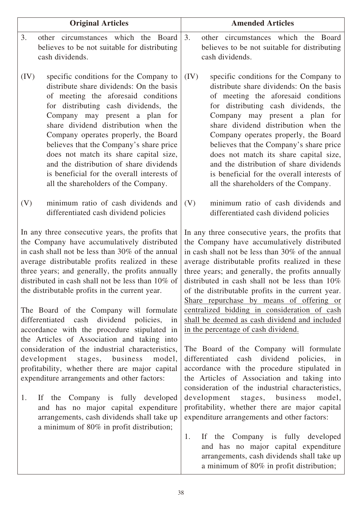| <b>Original Articles</b>                                                                                                                                                                                                                                                                                                                                                                                                                                                                                                                                                                                                                                                                                                                                                                                                                                                                                                               | <b>Amended Articles</b>                                                                                                                                                                                                                                                                                                                                                                                                                                                                                                                                                                                                                                                                                                                                                                                                                                                                                                                                                                                                                                                              |  |
|----------------------------------------------------------------------------------------------------------------------------------------------------------------------------------------------------------------------------------------------------------------------------------------------------------------------------------------------------------------------------------------------------------------------------------------------------------------------------------------------------------------------------------------------------------------------------------------------------------------------------------------------------------------------------------------------------------------------------------------------------------------------------------------------------------------------------------------------------------------------------------------------------------------------------------------|--------------------------------------------------------------------------------------------------------------------------------------------------------------------------------------------------------------------------------------------------------------------------------------------------------------------------------------------------------------------------------------------------------------------------------------------------------------------------------------------------------------------------------------------------------------------------------------------------------------------------------------------------------------------------------------------------------------------------------------------------------------------------------------------------------------------------------------------------------------------------------------------------------------------------------------------------------------------------------------------------------------------------------------------------------------------------------------|--|
| 3.                                                                                                                                                                                                                                                                                                                                                                                                                                                                                                                                                                                                                                                                                                                                                                                                                                                                                                                                     | 3.                                                                                                                                                                                                                                                                                                                                                                                                                                                                                                                                                                                                                                                                                                                                                                                                                                                                                                                                                                                                                                                                                   |  |
| other circumstances which the Board                                                                                                                                                                                                                                                                                                                                                                                                                                                                                                                                                                                                                                                                                                                                                                                                                                                                                                    | other circumstances which the Board                                                                                                                                                                                                                                                                                                                                                                                                                                                                                                                                                                                                                                                                                                                                                                                                                                                                                                                                                                                                                                                  |  |
| believes to be not suitable for distributing                                                                                                                                                                                                                                                                                                                                                                                                                                                                                                                                                                                                                                                                                                                                                                                                                                                                                           | believes to be not suitable for distributing                                                                                                                                                                                                                                                                                                                                                                                                                                                                                                                                                                                                                                                                                                                                                                                                                                                                                                                                                                                                                                         |  |
| cash dividends.                                                                                                                                                                                                                                                                                                                                                                                                                                                                                                                                                                                                                                                                                                                                                                                                                                                                                                                        | cash dividends.                                                                                                                                                                                                                                                                                                                                                                                                                                                                                                                                                                                                                                                                                                                                                                                                                                                                                                                                                                                                                                                                      |  |
| (IV)                                                                                                                                                                                                                                                                                                                                                                                                                                                                                                                                                                                                                                                                                                                                                                                                                                                                                                                                   | (IV)                                                                                                                                                                                                                                                                                                                                                                                                                                                                                                                                                                                                                                                                                                                                                                                                                                                                                                                                                                                                                                                                                 |  |
| specific conditions for the Company to                                                                                                                                                                                                                                                                                                                                                                                                                                                                                                                                                                                                                                                                                                                                                                                                                                                                                                 | specific conditions for the Company to                                                                                                                                                                                                                                                                                                                                                                                                                                                                                                                                                                                                                                                                                                                                                                                                                                                                                                                                                                                                                                               |  |
| distribute share dividends: On the basis                                                                                                                                                                                                                                                                                                                                                                                                                                                                                                                                                                                                                                                                                                                                                                                                                                                                                               | distribute share dividends: On the basis                                                                                                                                                                                                                                                                                                                                                                                                                                                                                                                                                                                                                                                                                                                                                                                                                                                                                                                                                                                                                                             |  |
| of meeting the aforesaid conditions                                                                                                                                                                                                                                                                                                                                                                                                                                                                                                                                                                                                                                                                                                                                                                                                                                                                                                    | of meeting the aforesaid conditions                                                                                                                                                                                                                                                                                                                                                                                                                                                                                                                                                                                                                                                                                                                                                                                                                                                                                                                                                                                                                                                  |  |
| for distributing cash dividends, the                                                                                                                                                                                                                                                                                                                                                                                                                                                                                                                                                                                                                                                                                                                                                                                                                                                                                                   | for distributing cash dividends, the                                                                                                                                                                                                                                                                                                                                                                                                                                                                                                                                                                                                                                                                                                                                                                                                                                                                                                                                                                                                                                                 |  |
| Company may present a plan for                                                                                                                                                                                                                                                                                                                                                                                                                                                                                                                                                                                                                                                                                                                                                                                                                                                                                                         | Company may present a plan for                                                                                                                                                                                                                                                                                                                                                                                                                                                                                                                                                                                                                                                                                                                                                                                                                                                                                                                                                                                                                                                       |  |
| share dividend distribution when the                                                                                                                                                                                                                                                                                                                                                                                                                                                                                                                                                                                                                                                                                                                                                                                                                                                                                                   | share dividend distribution when the                                                                                                                                                                                                                                                                                                                                                                                                                                                                                                                                                                                                                                                                                                                                                                                                                                                                                                                                                                                                                                                 |  |
| Company operates properly, the Board                                                                                                                                                                                                                                                                                                                                                                                                                                                                                                                                                                                                                                                                                                                                                                                                                                                                                                   | Company operates properly, the Board                                                                                                                                                                                                                                                                                                                                                                                                                                                                                                                                                                                                                                                                                                                                                                                                                                                                                                                                                                                                                                                 |  |
| believes that the Company's share price                                                                                                                                                                                                                                                                                                                                                                                                                                                                                                                                                                                                                                                                                                                                                                                                                                                                                                | believes that the Company's share price                                                                                                                                                                                                                                                                                                                                                                                                                                                                                                                                                                                                                                                                                                                                                                                                                                                                                                                                                                                                                                              |  |
| does not match its share capital size,                                                                                                                                                                                                                                                                                                                                                                                                                                                                                                                                                                                                                                                                                                                                                                                                                                                                                                 | does not match its share capital size,                                                                                                                                                                                                                                                                                                                                                                                                                                                                                                                                                                                                                                                                                                                                                                                                                                                                                                                                                                                                                                               |  |
| and the distribution of share dividends                                                                                                                                                                                                                                                                                                                                                                                                                                                                                                                                                                                                                                                                                                                                                                                                                                                                                                | and the distribution of share dividends                                                                                                                                                                                                                                                                                                                                                                                                                                                                                                                                                                                                                                                                                                                                                                                                                                                                                                                                                                                                                                              |  |
| is beneficial for the overall interests of                                                                                                                                                                                                                                                                                                                                                                                                                                                                                                                                                                                                                                                                                                                                                                                                                                                                                             | is beneficial for the overall interests of                                                                                                                                                                                                                                                                                                                                                                                                                                                                                                                                                                                                                                                                                                                                                                                                                                                                                                                                                                                                                                           |  |
| all the shareholders of the Company.                                                                                                                                                                                                                                                                                                                                                                                                                                                                                                                                                                                                                                                                                                                                                                                                                                                                                                   | all the shareholders of the Company.                                                                                                                                                                                                                                                                                                                                                                                                                                                                                                                                                                                                                                                                                                                                                                                                                                                                                                                                                                                                                                                 |  |
| minimum ratio of cash dividends and                                                                                                                                                                                                                                                                                                                                                                                                                                                                                                                                                                                                                                                                                                                                                                                                                                                                                                    | minimum ratio of cash dividends and                                                                                                                                                                                                                                                                                                                                                                                                                                                                                                                                                                                                                                                                                                                                                                                                                                                                                                                                                                                                                                                  |  |
| (V)                                                                                                                                                                                                                                                                                                                                                                                                                                                                                                                                                                                                                                                                                                                                                                                                                                                                                                                                    | (V)                                                                                                                                                                                                                                                                                                                                                                                                                                                                                                                                                                                                                                                                                                                                                                                                                                                                                                                                                                                                                                                                                  |  |
| differentiated cash dividend policies                                                                                                                                                                                                                                                                                                                                                                                                                                                                                                                                                                                                                                                                                                                                                                                                                                                                                                  | differentiated cash dividend policies                                                                                                                                                                                                                                                                                                                                                                                                                                                                                                                                                                                                                                                                                                                                                                                                                                                                                                                                                                                                                                                |  |
| In any three consecutive years, the profits that<br>the Company have accumulatively distributed<br>in cash shall not be less than 30% of the annual<br>average distributable profits realized in these<br>three years; and generally, the profits annually<br>distributed in cash shall not be less than 10% of<br>the distributable profits in the current year.<br>The Board of the Company will formulate<br>differentiated cash dividend policies, in<br>accordance with the procedure stipulated in<br>the Articles of Association and taking into<br>consideration of the industrial characteristics,<br>development<br>stages, business<br>model,<br>profitability, whether there are major capital<br>expenditure arrangements and other factors:<br>If the Company is fully developed<br>1.<br>and has no major capital expenditure<br>arrangements, cash dividends shall take up<br>a minimum of 80% in profit distribution; | In any three consecutive years, the profits that<br>the Company have accumulatively distributed<br>in cash shall not be less than 30% of the annual<br>average distributable profits realized in these<br>three years; and generally, the profits annually<br>distributed in cash shall not be less than $10\%$<br>of the distributable profits in the current year.<br>Share repurchase by means of offering or<br>centralized bidding in consideration of cash<br>shall be deemed as cash dividend and included<br>in the percentage of cash dividend.<br>The Board of the Company will formulate<br>dividend policies, in<br>differentiated cash<br>accordance with the procedure stipulated in<br>the Articles of Association and taking into<br>consideration of the industrial characteristics,<br>development<br>stages, business<br>model,<br>profitability, whether there are major capital<br>expenditure arrangements and other factors:<br>If the Company is fully developed<br>1.<br>and has no major capital expenditure<br>arrangements, cash dividends shall take up |  |

a minimum of 80% in profit distribution;